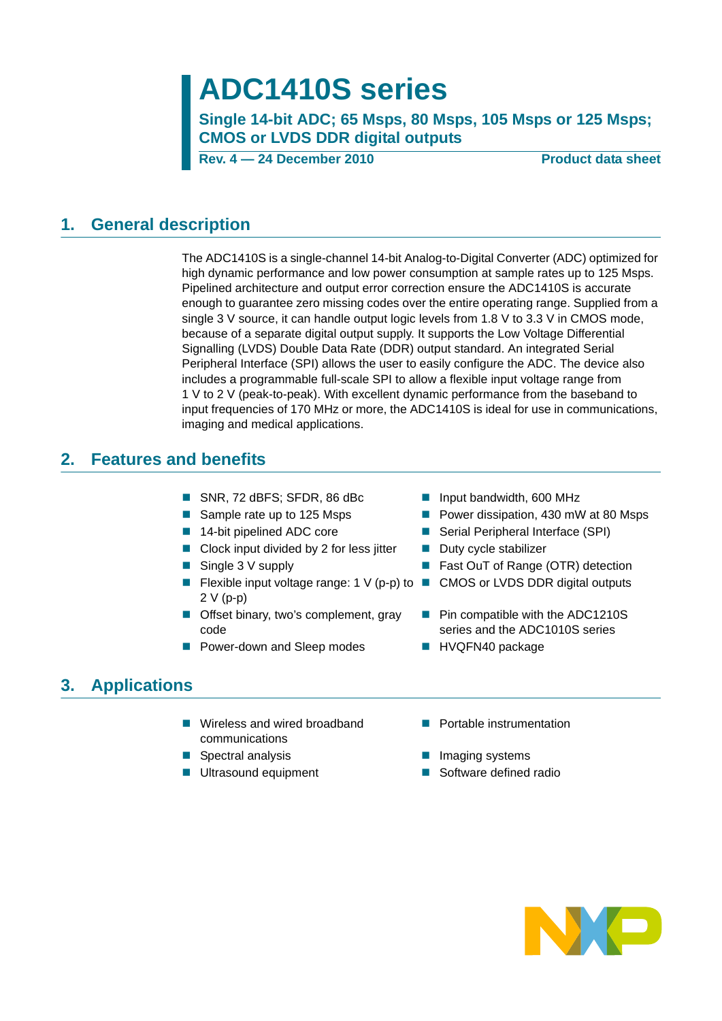# **ADC1410S series**

**Single 14-bit ADC; 65 Msps, 80 Msps, 105 Msps or 125 Msps; CMOS or LVDS DDR digital outputs**

**Rev. 4 – 24 December 2010** Product data sheet

### <span id="page-0-0"></span>**1. General description**

The ADC1410S is a single-channel 14-bit Analog-to-Digital Converter (ADC) optimized for high dynamic performance and low power consumption at sample rates up to 125 Msps. Pipelined architecture and output error correction ensure the ADC1410S is accurate enough to guarantee zero missing codes over the entire operating range. Supplied from a single 3 V source, it can handle output logic levels from 1.8 V to 3.3 V in CMOS mode, because of a separate digital output supply. It supports the Low Voltage Differential Signalling (LVDS) Double Data Rate (DDR) output standard. An integrated Serial Peripheral Interface (SPI) allows the user to easily configure the ADC. The device also includes a programmable full-scale SPI to allow a flexible input voltage range from 1 V to 2 V (peak-to-peak). With excellent dynamic performance from the baseband to input frequencies of 170 MHz or more, the ADC1410S is ideal for use in communications, imaging and medical applications.

### <span id="page-0-1"></span>**2. Features and benefits**

- SNR, 72 dBFS; SFDR, 86 dBc Input bandwidth, 600 MHz
- 
- 
- Clock input divided by 2 for less jitter  $\Box$  Duty cycle stabilizer
- 
- **Fiexible input voltage range: 1 V (p-p) to Fig. CMOS or LVDS DDR digital outputs** 2 V (p-p)
- **Offset binary, two's complement, gray** code
- Power-down and Sleep modes HVQFN40 package
- 
- Sample rate up to 125 Msps Power dissipation, 430 mW at 80 Msps
- 14-bit pipelined ADC core Serial Peripheral Interface (SPI)
	-
- Single 3 V supply **Example 1** Fast OuT of Range (OTR) detection
	-
	- **Pin compatible with the ADC1210S** series and the ADC1010S series
	-

### <span id="page-0-2"></span>**3. Applications**

- Wireless and wired broadband communications
- Spectral analysis Imaging systems
- 
- **Portable instrumentation**
- 
- Ultrasound equipment Software defined radio

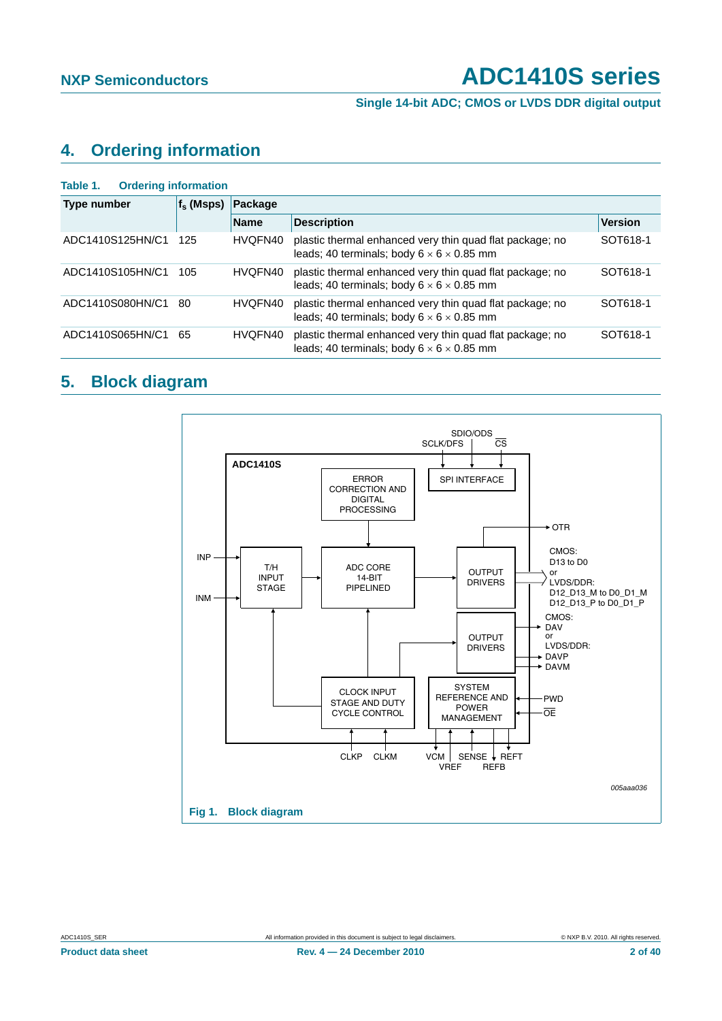**Single 14-bit ADC; CMOS or LVDS DDR digital output**

### <span id="page-1-1"></span>**4. Ordering information**

<span id="page-1-0"></span>

| <b>Ordering information</b><br>Table 1. |              |             |                                                                                                                   |                |  |  |  |  |  |  |  |  |
|-----------------------------------------|--------------|-------------|-------------------------------------------------------------------------------------------------------------------|----------------|--|--|--|--|--|--|--|--|
| Type number                             | $f_s$ (Msps) | Package     |                                                                                                                   |                |  |  |  |  |  |  |  |  |
|                                         |              | <b>Name</b> | <b>Description</b>                                                                                                | <b>Version</b> |  |  |  |  |  |  |  |  |
| ADC1410S125HN/C1                        | 125          | HVQFN40     | plastic thermal enhanced very thin quad flat package; no<br>leads: 40 terminals: body $6 \times 6 \times 0.85$ mm | SOT618-1       |  |  |  |  |  |  |  |  |
| ADC1410S105HN/C1                        | 105          | HVQFN40     | plastic thermal enhanced very thin quad flat package; no<br>leads; 40 terminals; body $6 \times 6 \times 0.85$ mm | SOT618-1       |  |  |  |  |  |  |  |  |
| ADC1410S080HN/C1                        | 80           | HVQFN40     | plastic thermal enhanced very thin quad flat package; no<br>leads; 40 terminals; body $6 \times 6 \times 0.85$ mm | SOT618-1       |  |  |  |  |  |  |  |  |
| ADC1410S065HN/C1                        | 65           | HVQFN40     | plastic thermal enhanced very thin quad flat package; no<br>leads: 40 terminals: body $6 \times 6 \times 0.85$ mm | SOT618-1       |  |  |  |  |  |  |  |  |

### <span id="page-1-2"></span>**5. Block diagram**

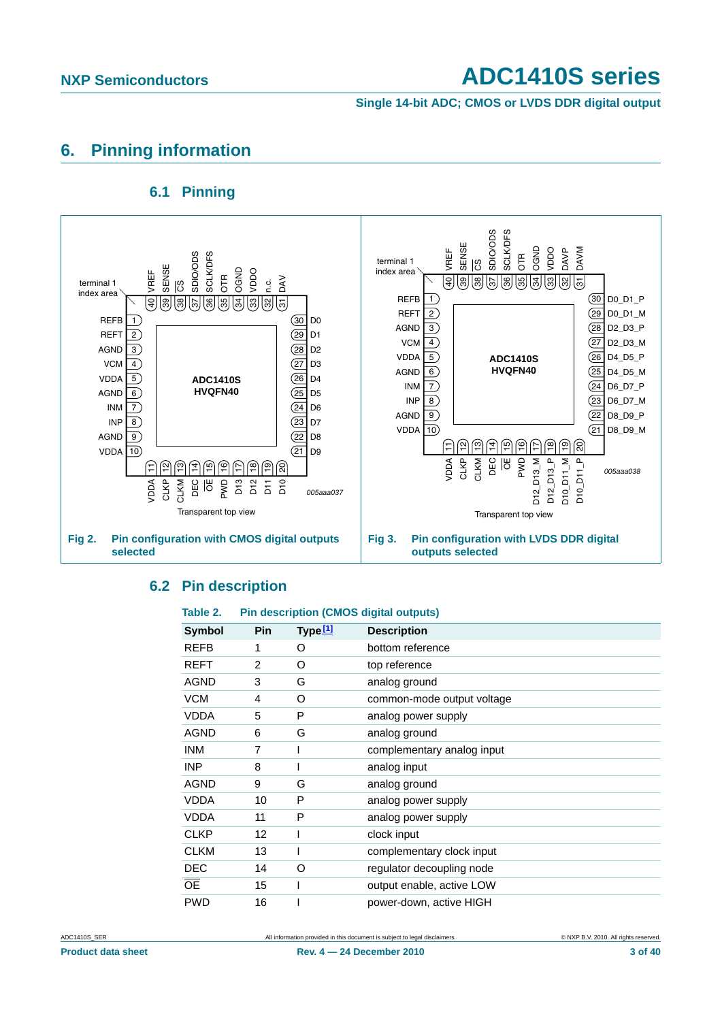**Single 14-bit ADC; CMOS or LVDS DDR digital output**

### <span id="page-2-1"></span>**6. Pinning information**

### **6.1 Pinning**

<span id="page-2-2"></span>

### <span id="page-2-3"></span>**6.2 Pin description**

### <span id="page-2-0"></span>**Table 2. Pin description (CMOS digital outputs)**

| Symbol          | <b>Pin</b> | Type <sup>[1]</sup> | <b>Description</b>         |
|-----------------|------------|---------------------|----------------------------|
| <b>REFB</b>     | 1          | O                   | bottom reference           |
| <b>REFT</b>     | 2          | O                   | top reference              |
| <b>AGND</b>     | 3          | G                   | analog ground              |
| <b>VCM</b>      | 4          | O                   | common-mode output voltage |
| <b>VDDA</b>     | 5          | P                   | analog power supply        |
| <b>AGND</b>     | 6          | G                   | analog ground              |
| <b>INM</b>      | 7          |                     | complementary analog input |
| <b>INP</b>      | 8          |                     | analog input               |
| <b>AGND</b>     | 9          | G                   | analog ground              |
| <b>VDDA</b>     | 10         | P                   | analog power supply        |
| <b>VDDA</b>     | 11         | P                   | analog power supply        |
| <b>CLKP</b>     | 12         |                     | clock input                |
| <b>CLKM</b>     | 13         |                     | complementary clock input  |
| <b>DEC</b>      | 14         | O                   | regulator decoupling node  |
| $\overline{OE}$ | 15         |                     | output enable, active LOW  |
| <b>PWD</b>      | 16         |                     | power-down, active HIGH    |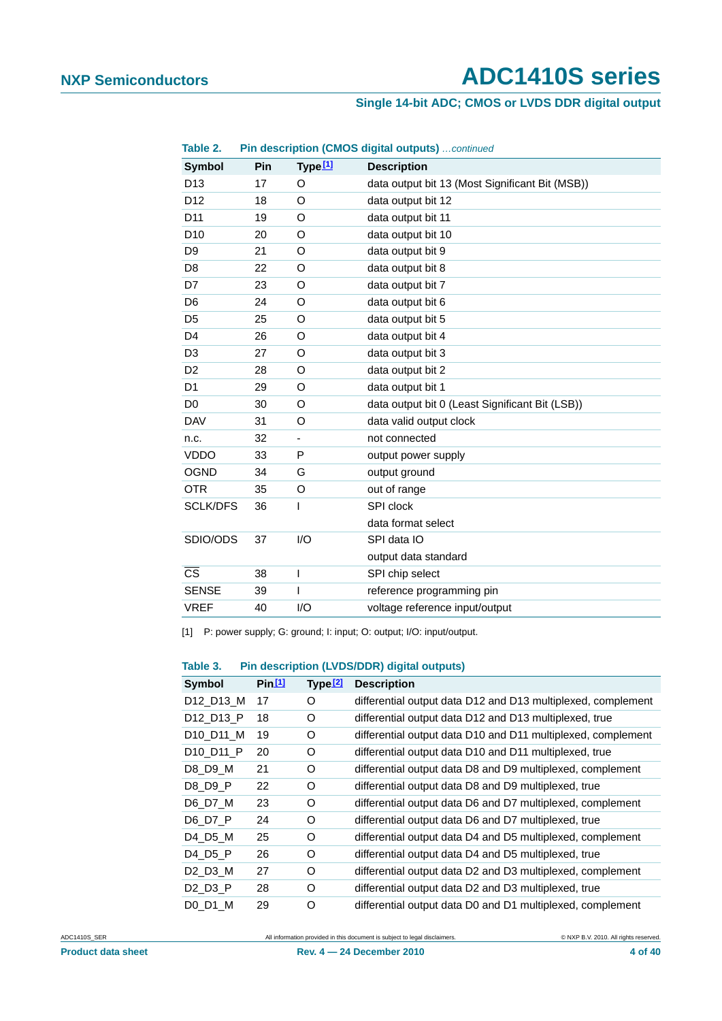### **Single 14-bit ADC; CMOS or LVDS DDR digital output**

| Table 2.               |     |                          | Pin description (CMOS digital outputs)  continued |
|------------------------|-----|--------------------------|---------------------------------------------------|
| Symbol                 | Pin | Type <sup>[1]</sup>      | <b>Description</b>                                |
| D <sub>13</sub>        | 17  | O                        | data output bit 13 (Most Significant Bit (MSB))   |
| D <sub>12</sub>        | 18  | O                        | data output bit 12                                |
| D <sub>11</sub>        | 19  | O                        | data output bit 11                                |
| D <sub>10</sub>        | 20  | O                        | data output bit 10                                |
| D <sub>9</sub>         | 21  | O                        | data output bit 9                                 |
| D <sub>8</sub>         | 22  | O                        | data output bit 8                                 |
| D7                     | 23  | O                        | data output bit 7                                 |
| D <sub>6</sub>         | 24  | O                        | data output bit 6                                 |
| D <sub>5</sub>         | 25  | O                        | data output bit 5                                 |
| D <sub>4</sub>         | 26  | O                        | data output bit 4                                 |
| D <sub>3</sub>         | 27  | O                        | data output bit 3                                 |
| D <sub>2</sub>         | 28  | O                        | data output bit 2                                 |
| D <sub>1</sub>         | 29  | O                        | data output bit 1                                 |
| D <sub>0</sub>         | 30  | O                        | data output bit 0 (Least Significant Bit (LSB))   |
| <b>DAV</b>             | 31  | O                        | data valid output clock                           |
| n.c.                   | 32  | $\overline{\phantom{0}}$ | not connected                                     |
| <b>VDDO</b>            | 33  | P                        | output power supply                               |
| <b>OGND</b>            | 34  | G                        | output ground                                     |
| <b>OTR</b>             | 35  | O                        | out of range                                      |
| <b>SCLK/DFS</b>        | 36  | I                        | SPI clock                                         |
|                        |     |                          | data format select                                |
| SDIO/ODS               | 37  | 1/O                      | SPI data IO                                       |
|                        |     |                          | output data standard                              |
| $\overline{\text{cs}}$ | 38  | I                        | SPI chip select                                   |
| <b>SENSE</b>           | 39  | ı                        | reference programming pin                         |
| <b>VREF</b>            | 40  | I/O                      | voltage reference input/output                    |

<span id="page-3-0"></span>[1] P: power supply; G: ground; I: input; O: output; I/O: input/output.

### **Table 3. Pin description (LVDS/DDR) digital outputs)**

| <b>Symbol</b>                     | Pin 11 | Type <sub>2</sub> | <b>Description</b>                                           |
|-----------------------------------|--------|-------------------|--------------------------------------------------------------|
| D12_D13_M                         | 17     | O                 | differential output data D12 and D13 multiplexed, complement |
| D12_D13_P                         | 18     | O                 | differential output data D12 and D13 multiplexed, true       |
| D <sub>10</sub> D <sub>11</sub> M | 19     | O                 | differential output data D10 and D11 multiplexed, complement |
| D <sub>10</sub> D <sub>11</sub> P | 20     | O                 | differential output data D10 and D11 multiplexed, true       |
| D8 D9 M                           | 21     | O                 | differential output data D8 and D9 multiplexed, complement   |
| D8_D9_P                           | 22     | O                 | differential output data D8 and D9 multiplexed, true         |
| D6_D7_M                           | 23     | O                 | differential output data D6 and D7 multiplexed, complement   |
| D6 D7 P                           | 24     | O                 | differential output data D6 and D7 multiplexed, true         |
| D4 D5 M                           | 25     | O                 | differential output data D4 and D5 multiplexed, complement   |
| D4 D5 P                           | 26     | O                 | differential output data D4 and D5 multiplexed, true         |
| D2 D3 M                           | 27     | O                 | differential output data D2 and D3 multiplexed, complement   |
| D2 D3 P                           | 28     | O                 | differential output data D2 and D3 multiplexed, true         |
| D0 D1 M                           | 29     | O                 | differential output data D0 and D1 multiplexed, complement   |

ADC1410S\_SER **All information provided in this document** is subject to legal disclaimers. **COMPRENT ALL RIGHTS RESERVED ALL RIGHTS RESERVED ALL RIGHTS RESERVED**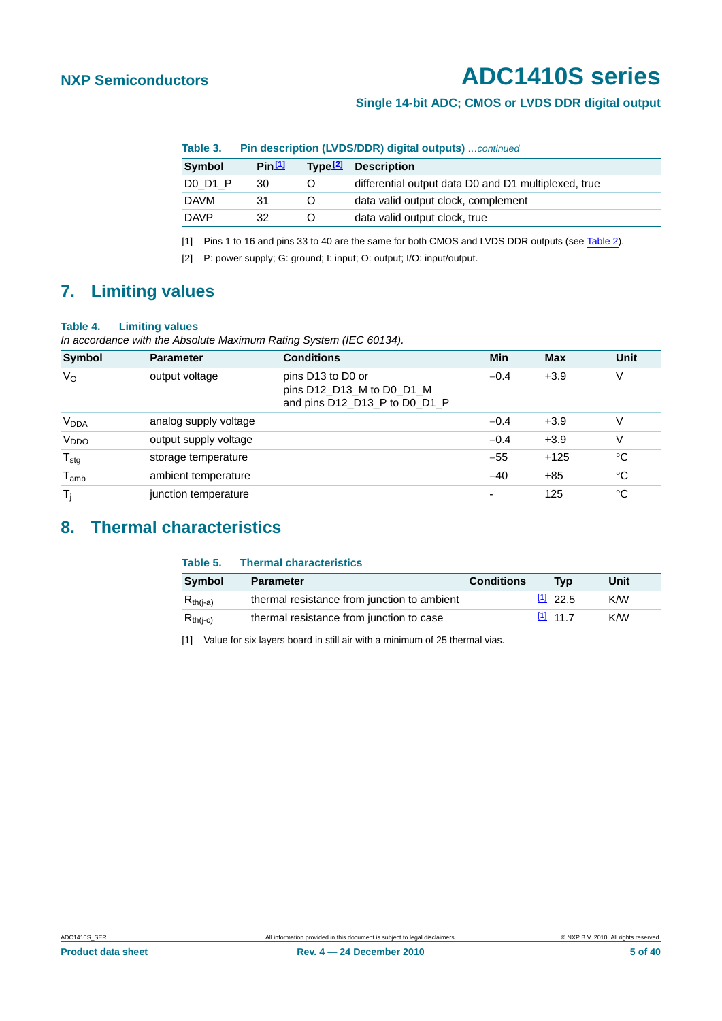### **Single 14-bit ADC; CMOS or LVDS DDR digital output**

**Table 3. Pin description (LVDS/DDR) digital outputs)** *…continued*

| <b>Symbol</b> | Pin 11 | Tvpe <sup>[2]</sup> | <b>Description</b>                                   |
|---------------|--------|---------------------|------------------------------------------------------|
| DO D1 P       | 30     | Ő                   | differential output data D0 and D1 multiplexed, true |
| <b>DAVM</b>   | 31     | $\Omega$            | data valid output clock, complement                  |
| <b>DAVP</b>   | 32     | O                   | data valid output clock, true                        |
|               |        |                     |                                                      |

<span id="page-4-0"></span>[1] Pins 1 to 16 and pins 33 to 40 are the same for both CMOS and LVDS DDR outputs (see [Table 2](#page-2-0)).

<span id="page-4-1"></span>[2] P: power supply; G: ground; I: input; O: output; I/O: input/output.

### <span id="page-4-3"></span>**7. Limiting values**

### **Table 4. Limiting values**

*In accordance with the Absolute Maximum Rating System (IEC 60134).*

| <b>Symbol</b>          | <b>Parameter</b>      | <b>Conditions</b>                                                               | Min    | <b>Max</b> | Unit        |
|------------------------|-----------------------|---------------------------------------------------------------------------------|--------|------------|-------------|
| $V_{\rm O}$            | output voltage        | pins D13 to D0 or<br>pins D12_D13_M to D0_D1_M<br>and pins D12_D13_P to D0_D1_P | $-0.4$ | $+3.9$     | V           |
| <b>V<sub>DDA</sub></b> | analog supply voltage |                                                                                 | $-0.4$ | $+3.9$     | ٧           |
| V <sub>DDO</sub>       | output supply voltage |                                                                                 | $-0.4$ | $+3.9$     | ٧           |
| $T_{\text{stg}}$       | storage temperature   |                                                                                 | $-55$  | $+125$     | $^{\circ}C$ |
| $T_{amb}$              | ambient temperature   |                                                                                 | $-40$  | $+85$      | $^{\circ}C$ |
| T <sub>i</sub>         | junction temperature  |                                                                                 | ٠      | 125        | $^{\circ}C$ |

### <span id="page-4-4"></span>**8. Thermal characteristics**

| Table 5.      | <b>Thermal characteristics</b>              |                   |            |      |
|---------------|---------------------------------------------|-------------------|------------|------|
| Symbol        | <b>Parameter</b>                            | <b>Conditions</b> | Tvp        | Unit |
| $R_{th(i-a)}$ | thermal resistance from junction to ambient |                   | 11, 22.5   | K/W  |
| $R_{th(i-c)}$ | thermal resistance from junction to case    |                   | $[1]$ 11 7 | K/W  |

<span id="page-4-2"></span>[1] Value for six layers board in still air with a minimum of 25 thermal vias.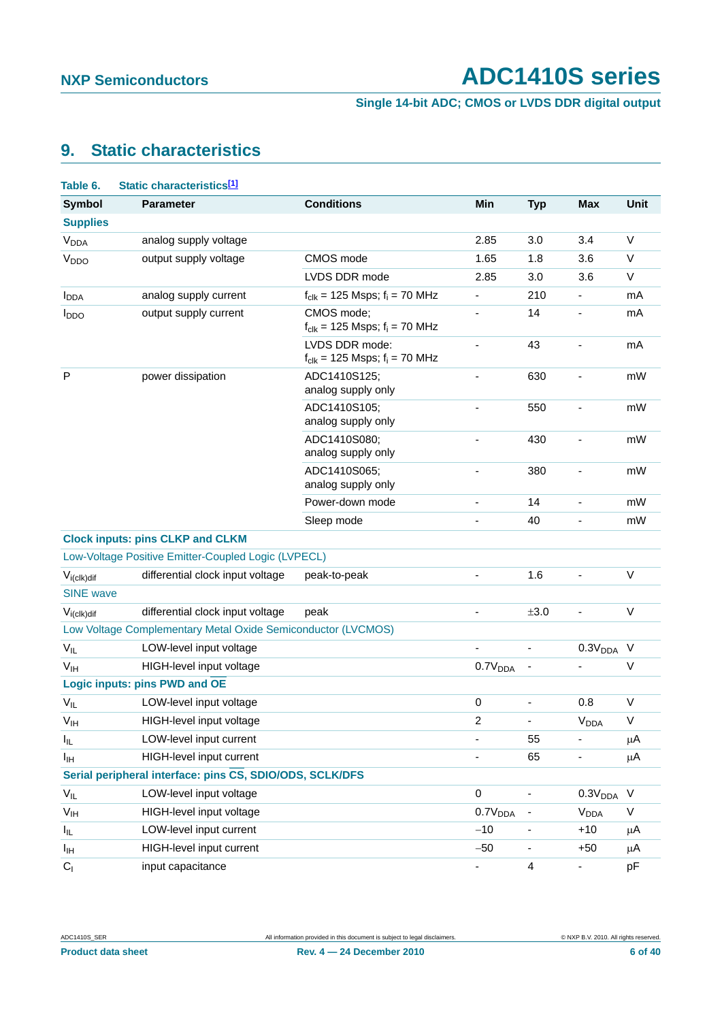**Single 14-bit ADC; CMOS or LVDS DDR digital output**

### <span id="page-5-1"></span>**9. Static characteristics**

<span id="page-5-0"></span>

| Table 6.                   | Static characteristics <sup>[1]</sup>                        |                                                               |                          |                          |                        |             |
|----------------------------|--------------------------------------------------------------|---------------------------------------------------------------|--------------------------|--------------------------|------------------------|-------------|
| <b>Symbol</b>              | <b>Parameter</b>                                             | <b>Conditions</b>                                             | Min                      | <b>Typ</b>               | <b>Max</b>             | <b>Unit</b> |
| <b>Supplies</b>            |                                                              |                                                               |                          |                          |                        |             |
| <b>V<sub>DDA</sub></b>     | analog supply voltage                                        |                                                               | 2.85                     | 3.0                      | 3.4                    | $\vee$      |
| V <sub>DDO</sub>           | output supply voltage                                        | CMOS mode                                                     | 1.65                     | 1.8                      | 3.6                    | $\vee$      |
|                            |                                                              | LVDS DDR mode                                                 | 2.85                     | 3.0                      | 3.6                    | V           |
| <b>I</b> <sub>DDA</sub>    | analog supply current                                        | $f_{clk}$ = 125 Msps; $f_i$ = 70 MHz                          |                          | 210                      | $\frac{1}{2}$          | mA          |
| $I_{DDO}$                  | output supply current                                        | CMOS mode;<br>$f_{\text{clk}} = 125$ Msps; $f_i = 70$ MHz     |                          | 14                       | ÷                      | mA          |
|                            |                                                              | LVDS DDR mode:<br>$f_{\text{clk}} = 125$ Msps; $f_i = 70$ MHz | $\overline{\phantom{a}}$ | 43                       | ÷                      | mA          |
| P                          | power dissipation                                            | ADC1410S125;<br>analog supply only                            |                          | 630                      |                        | mW          |
|                            |                                                              | ADC1410S105;<br>analog supply only                            |                          | 550                      |                        | mW          |
|                            |                                                              | ADC1410S080;<br>analog supply only                            | ۰                        | 430                      | ÷                      | mW          |
|                            |                                                              | ADC1410S065;<br>analog supply only                            |                          | 380                      |                        | mW          |
|                            |                                                              | Power-down mode                                               |                          | 14                       | ÷                      | mW          |
|                            |                                                              | Sleep mode                                                    |                          | 40                       | ä,                     | mW          |
|                            | <b>Clock inputs: pins CLKP and CLKM</b>                      |                                                               |                          |                          |                        |             |
|                            | Low-Voltage Positive Emitter-Coupled Logic (LVPECL)          |                                                               |                          |                          |                        |             |
| $V_{i (c I k) dif}$        | differential clock input voltage                             | peak-to-peak                                                  |                          | 1.6                      | ä,                     | V           |
| <b>SINE</b> wave           |                                                              |                                                               |                          |                          |                        |             |
| $V_{i (c I k) dif}$        | differential clock input voltage                             | peak                                                          |                          | ±3.0                     | ÷,                     | V           |
|                            | Low Voltage Complementary Metal Oxide Semiconductor (LVCMOS) |                                                               |                          |                          |                        |             |
| $V_{IL}$                   | LOW-level input voltage                                      |                                                               |                          | $\overline{\phantom{a}}$ | 0.3V <sub>DDA</sub>    | $\vee$      |
| V <sub>IH</sub>            | HIGH-level input voltage                                     |                                                               | 0.7V <sub>DDA</sub>      | -                        |                        | $\vee$      |
|                            | <b>Logic inputs: pins PWD and OE</b>                         |                                                               |                          |                          |                        |             |
| $V_{IL}$                   | LOW-level input voltage                                      |                                                               | 0                        |                          | 0.8                    | $\vee$      |
| V <sub>IH</sub>            | HIGH-level input voltage                                     |                                                               | 2                        |                          | <b>V<sub>DDA</sub></b> | V           |
| I <sub>IL</sub>            | LOW-level input current                                      |                                                               |                          | 55                       | ٠                      | μA          |
| Iщ                         | HIGH-level input current                                     |                                                               |                          | 65                       | -                      | μA          |
|                            | Serial peripheral interface: pins CS, SDIO/ODS, SCLK/DFS     |                                                               |                          |                          |                        |             |
| $V_{IL}$                   | LOW-level input voltage                                      |                                                               | 0                        |                          | 0.3V <sub>DDA</sub>    | $\vee$      |
| $\mathsf{V}_{\mathsf{IH}}$ | HIGH-level input voltage                                     |                                                               | 0.7V <sub>DDA</sub>      | ۰                        | <b>V<sub>DDA</sub></b> | $\mathsf V$ |
| I <sub>IL</sub>            | LOW-level input current                                      |                                                               | $-10$                    | $\overline{\phantom{a}}$ | $+10$                  | $\mu$ A     |
| Iщ                         | HIGH-level input current                                     |                                                               | $-50$                    | -                        | $+50$                  | μA          |
| C <sub>1</sub>             | input capacitance                                            |                                                               | ۰.                       | 4                        | ۳                      | pF          |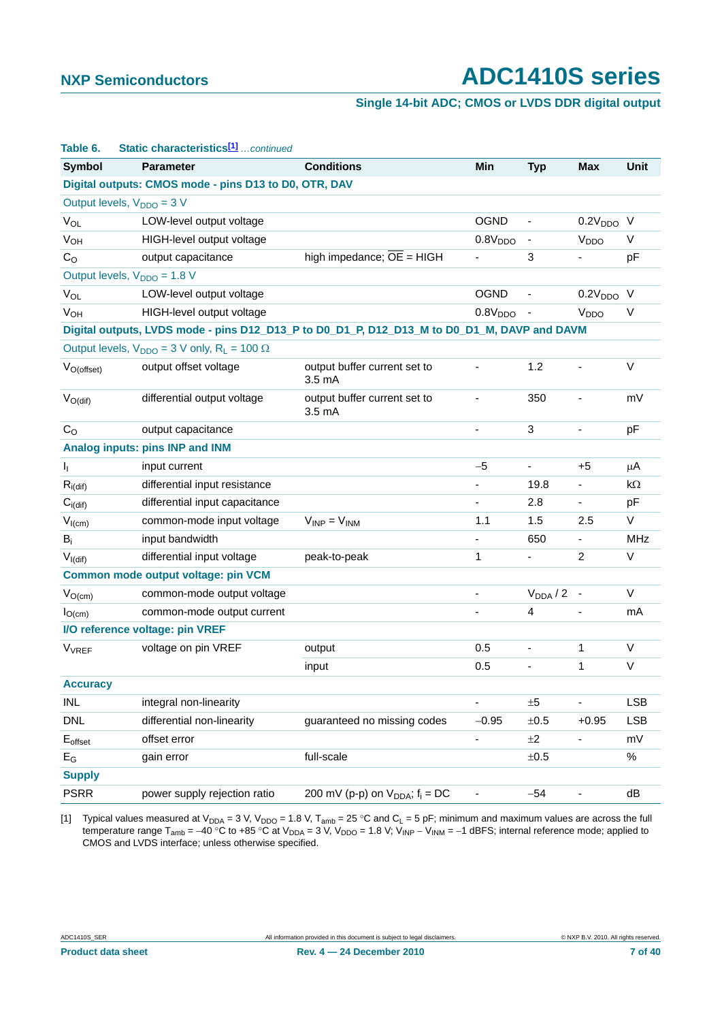### **Single 14-bit ADC; CMOS or LVDS DDR digital output**

| Static characteristics <sup>[1]</sup> continued<br>Table 6. |                                                                                             |                                                   |                          |                              |                              |             |
|-------------------------------------------------------------|---------------------------------------------------------------------------------------------|---------------------------------------------------|--------------------------|------------------------------|------------------------------|-------------|
| <b>Symbol</b>                                               | <b>Parameter</b>                                                                            | <b>Conditions</b>                                 | Min                      | <b>Typ</b>                   | <b>Max</b>                   | <b>Unit</b> |
|                                                             | Digital outputs: CMOS mode - pins D13 to D0, OTR, DAV                                       |                                                   |                          |                              |                              |             |
|                                                             | Output levels, $V_{DDO} = 3 V$                                                              |                                                   |                          |                              |                              |             |
| $V_{OL}$                                                    | LOW-level output voltage                                                                    |                                                   | <b>OGND</b>              | $\overline{\phantom{a}}$     | $0.2VDDO$ V                  |             |
| $V_{OH}$                                                    | HIGH-level output voltage                                                                   |                                                   | 0.8V <sub>DDO</sub>      | ۰                            | V <sub>DDO</sub>             | V           |
| C <sub>O</sub>                                              | output capacitance                                                                          | high impedance; OE = HIGH                         |                          | 3                            |                              | pF          |
|                                                             | Output levels, V <sub>DDO</sub> = 1.8 V                                                     |                                                   |                          |                              |                              |             |
| <b>V<sub>OL</sub></b>                                       | LOW-level output voltage                                                                    |                                                   | <b>OGND</b>              | $\overline{\phantom{0}}$     | 0.2V <sub>DDO</sub> V        |             |
| <b>V<sub>OH</sub></b>                                       | HIGH-level output voltage                                                                   |                                                   | 0.8V <sub>DDO</sub>      |                              | V <sub>DDO</sub>             | V           |
|                                                             | Digital outputs, LVDS mode - pins D12_D13_P to D0_D1_P, D12_D13_M to D0_D1_M, DAVP and DAVM |                                                   |                          |                              |                              |             |
|                                                             | Output levels, $V_{DDO} = 3$ V only, $R_L = 100 \Omega$                                     |                                                   |                          |                              |                              |             |
| $V_{O(offset)}$                                             | output offset voltage                                                                       | output buffer current set to<br>3.5 <sub>mA</sub> |                          | 1.2                          | $\blacksquare$               | $\vee$      |
| $V_{O(di)}$                                                 | differential output voltage                                                                 | output buffer current set to<br>$3.5 \text{ mA}$  |                          | 350                          |                              | mV          |
| C <sub>O</sub>                                              | output capacitance                                                                          |                                                   |                          | 3                            | $\qquad \qquad \blacksquare$ | pF          |
|                                                             | Analog inputs: pins INP and INM                                                             |                                                   |                          |                              |                              |             |
| ı,                                                          | input current                                                                               |                                                   | $-5$                     | $\qquad \qquad \blacksquare$ | +5                           | μA          |
| $R_{i(dif)}$                                                | differential input resistance                                                               |                                                   |                          | 19.8                         |                              | kΩ          |
| $C_{i\left(\text{dif}\right)}$                              | differential input capacitance                                                              |                                                   | $\overline{\phantom{0}}$ | 2.8                          | $\blacksquare$               | pF          |
| $V_{I(cm)}$                                                 | common-mode input voltage                                                                   | $V_{INP} = V_{INM}$                               | 1.1                      | 1.5                          | 2.5                          | V           |
| $B_i$                                                       | input bandwidth                                                                             |                                                   |                          | 650                          | $\overline{\phantom{a}}$     | <b>MHz</b>  |
| $V_{I(dif)}$                                                | differential input voltage                                                                  | peak-to-peak                                      | 1                        |                              | $\overline{a}$               | V           |
|                                                             | Common mode output voltage: pin VCM                                                         |                                                   |                          |                              |                              |             |
| $V_{O(cm)}$                                                 | common-mode output voltage                                                                  |                                                   |                          | $V_{DDA}/2$ -                |                              | V           |
| $I_{O(cm)}$                                                 | common-mode output current                                                                  |                                                   |                          | 4                            | $\overline{\phantom{a}}$     | mA          |
|                                                             | I/O reference voltage: pin VREF                                                             |                                                   |                          |                              |                              |             |
| <b>V<sub>VREF</sub></b>                                     | voltage on pin VREF                                                                         | output                                            | 0.5                      | $\overline{\phantom{0}}$     | 1                            | V           |
|                                                             |                                                                                             | input                                             | 0.5                      |                              | $\mathbf{1}$                 | $\vee$      |
| <b>Accuracy</b>                                             |                                                                                             |                                                   |                          |                              |                              |             |
| INL                                                         | integral non-linearity                                                                      |                                                   |                          | ±5                           |                              | <b>LSB</b>  |
| <b>DNL</b>                                                  | differential non-linearity                                                                  | guaranteed no missing codes                       | $-0.95$                  | $\pm 0.5$                    | $+0.95$                      | <b>LSB</b>  |
| $E_{offset}$                                                | offset error                                                                                |                                                   |                          | $\pm 2$                      |                              | mV          |
| $E_G$                                                       | gain error                                                                                  | full-scale                                        |                          | $\pm 0.5$                    |                              | $\%$        |
| <b>Supply</b>                                               |                                                                                             |                                                   |                          |                              |                              |             |
| <b>PSRR</b>                                                 | power supply rejection ratio                                                                | 200 mV (p-p) on $V_{DDA}$ ; $f_i = DC$            |                          | $-54$                        | $\qquad \qquad \blacksquare$ | dB          |

<span id="page-6-0"></span>[1] Typical values measured at V<sub>DDA</sub> = 3 V, V<sub>DDO</sub> = 1.8 V, T<sub>amb</sub> = 25 °C and C<sub>L</sub> = 5 pF; minimum and maximum values are across the full temperature range T<sub>amb</sub> = −40 °C to +85 °C at V<sub>DDA</sub> = 3 V, V<sub>DDO</sub> = 1.8 V; V<sub>INP</sub> − V<sub>INM</sub> = −1 dBFS; internal reference mode; applied to CMOS and LVDS interface; unless otherwise specified.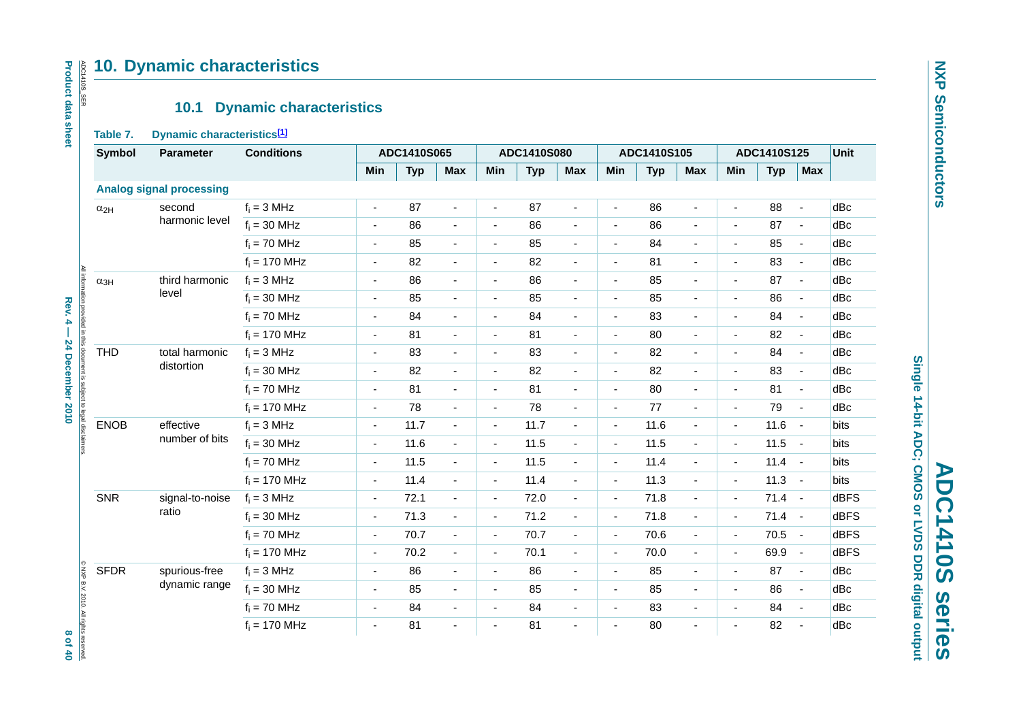### **10. Dynamic characteristics**

### **10.1 Dynamic characteristics**

### <span id="page-7-1"></span><span id="page-7-0"></span>**Table 7. Dynamic characteristics[\[1\]](#page-8-0)**

| Table 7.      | 10.1<br>Dynamic characteristics[1] | <b>Dynamic characteristics</b> |                          |             |                          |                          |             |                |                          |             |                          |                          |             |                |             |
|---------------|------------------------------------|--------------------------------|--------------------------|-------------|--------------------------|--------------------------|-------------|----------------|--------------------------|-------------|--------------------------|--------------------------|-------------|----------------|-------------|
| <b>Symbol</b> | <b>Parameter</b>                   | <b>Conditions</b>              |                          | ADC1410S065 |                          |                          | ADC1410S080 |                |                          | ADC1410S105 |                          |                          | ADC1410S125 |                | Unit        |
|               |                                    |                                | Min                      | <b>Typ</b>  | <b>Max</b>               | Min                      | <b>Typ</b>  | <b>Max</b>     | Min                      | <b>Typ</b>  | <b>Max</b>               | Min                      | <b>Typ</b>  | <b>Max</b>     |             |
|               | <b>Analog signal processing</b>    |                                |                          |             |                          |                          |             |                |                          |             |                          |                          |             |                |             |
| $\alpha_{2H}$ | second                             | $f_i = 3 MHz$                  | $\blacksquare$           | 87          | $\blacksquare$           | $\blacksquare$           | 87          | $\sim$         | $\blacksquare$           | 86          | $\blacksquare$           | $\blacksquare$           | 88          | $\blacksquare$ | dBc         |
|               | harmonic level                     | $f_i = 30$ MHz                 | $\overline{\phantom{a}}$ | 86          | $\blacksquare$           | $\blacksquare$           | 86          | $\blacksquare$ | $\overline{\phantom{a}}$ | 86          | $\overline{\phantom{a}}$ | $\overline{\phantom{a}}$ | 87          | $\blacksquare$ | dBc         |
|               |                                    | $f_i = 70$ MHz                 | $\overline{\phantom{a}}$ | 85          | $\blacksquare$           | $\blacksquare$           | 85          | $\blacksquare$ | $\overline{\phantom{a}}$ | 84          | $\blacksquare$           | $\overline{\phantom{a}}$ | 85          | $\blacksquare$ | dBc         |
|               |                                    | $f_i = 170$ MHz                | $\overline{\phantom{a}}$ | 82          | $\blacksquare$           | $\blacksquare$           | 82          | $\blacksquare$ | $\blacksquare$           | 81          | $\overline{\phantom{a}}$ | $\blacksquare$           | 83          | $\blacksquare$ | dBc         |
| $\alpha_{3H}$ | third harmonic                     | $f_i = 3 MHz$                  | $\overline{\phantom{a}}$ | 86          | $\blacksquare$           | $\overline{\phantom{a}}$ | 86          | $\blacksquare$ | $\overline{\phantom{a}}$ | 85          | $\overline{\phantom{a}}$ | $\overline{\phantom{a}}$ | 87          | $\blacksquare$ | dBc         |
|               | level                              | $f_i = 30$ MHz                 | $\blacksquare$           | 85          | $\overline{\phantom{a}}$ | $\overline{\phantom{a}}$ | 85          | $\blacksquare$ | $\blacksquare$           | 85          | $\overline{\phantom{a}}$ | $\blacksquare$           | 86          | $\blacksquare$ | dBc         |
|               |                                    | $f_i = 70$ MHz                 | $\blacksquare$           | 84          | $\blacksquare$           | $\sim$                   | 84          | $\blacksquare$ | $\blacksquare$           | 83          | $\overline{\phantom{a}}$ |                          | 84          | $\blacksquare$ | dBc         |
|               |                                    | $f_i = 170$ MHz                | $\overline{\phantom{a}}$ | 81          | $\overline{\phantom{a}}$ |                          | 81          | $\blacksquare$ | $\blacksquare$           | 80          | $\blacksquare$           |                          | 82          | $\sim$         | dBc         |
| <b>THD</b>    | total harmonic                     | $f_i = 3 MHz$                  | $\overline{\phantom{a}}$ | 83          | $\blacksquare$           | $\overline{\phantom{a}}$ | 83          | $\blacksquare$ | $\overline{\phantom{a}}$ | 82          | $\blacksquare$           |                          | 84          | $\blacksquare$ | dBc         |
|               | distortion                         | $f_i = 30$ MHz                 | $\blacksquare$           | 82          | $\overline{\phantom{a}}$ | $\overline{a}$           | 82          | $\blacksquare$ | $\blacksquare$           | 82          | $\overline{\phantom{a}}$ | $\blacksquare$           | 83          | $\blacksquare$ | dBc         |
|               |                                    | $f_i = 70$ MHz                 | $\overline{\phantom{a}}$ | 81          | $\blacksquare$           | $\blacksquare$           | 81          | $\blacksquare$ | $\overline{\phantom{a}}$ | 80          | $\overline{\phantom{a}}$ | $\blacksquare$           | 81          | $\blacksquare$ | dBc         |
|               |                                    | $f_i = 170$ MHz                | ÷,                       | 78          | $\blacksquare$           | ÷,                       | 78          | $\blacksquare$ | $\blacksquare$           | 77          | $\blacksquare$           | $\blacksquare$           | 79          | $\sim$         | dBc         |
| <b>ENOB</b>   | effective                          | $f_i = 3 MHz$                  | $\overline{\phantom{a}}$ | 11.7        | $\blacksquare$           | $\overline{\phantom{a}}$ | 11.7        | $\blacksquare$ | $\overline{\phantom{a}}$ | 11.6        | $\blacksquare$           | $\overline{\phantom{a}}$ | 11.6        | $\sim$         | bits        |
|               | number of bits                     | $f_i = 30$ MHz                 | $\blacksquare$           | 11.6        | $\blacksquare$           | $\blacksquare$           | 11.5        | $\blacksquare$ | $\overline{\phantom{a}}$ | 11.5        | $\blacksquare$           | $\blacksquare$           | 11.5        | $\sim$ $\sim$  | bits        |
|               |                                    | $f_i = 70$ MHz                 | $\blacksquare$           | 11.5        | $\blacksquare$           | $\overline{\phantom{a}}$ | 11.5        | $\blacksquare$ | $\overline{\phantom{a}}$ | 11.4        | $\overline{\phantom{a}}$ | $\sim$                   | $11.4 -$    |                | bits        |
|               |                                    | $f_i = 170$ MHz                | $\overline{\phantom{a}}$ | 11.4        | $\overline{\phantom{a}}$ | $\overline{\phantom{a}}$ | 11.4        | $\blacksquare$ | $\overline{\phantom{a}}$ | 11.3        | $\overline{\phantom{a}}$ | $\overline{\phantom{a}}$ | $11.3 - 1$  |                | bits        |
| <b>SNR</b>    | signal-to-noise                    | $f_i = 3 MHz$                  | $\blacksquare$           | 72.1        | $\blacksquare$           | $\blacksquare$           | 72.0        | $\blacksquare$ | $\blacksquare$           | 71.8        | $\blacksquare$           | $\blacksquare$           | $71.4 -$    |                | <b>dBFS</b> |
|               | ratio                              | $f_i = 30$ MHz                 | $\blacksquare$           | 71.3        | $\overline{\phantom{a}}$ | $\blacksquare$           | 71.2        | $\blacksquare$ | $\blacksquare$           | 71.8        | $\blacksquare$           | $\blacksquare$           | $71.4 -$    |                | <b>dBFS</b> |
|               |                                    | $f_i = 70$ MHz                 | $\blacksquare$           | 70.7        | $\overline{\phantom{a}}$ | $\blacksquare$           | 70.7        | $\blacksquare$ | $\blacksquare$           | 70.6        | $\blacksquare$           | $\sim$                   | $70.5 -$    |                | <b>dBFS</b> |
|               |                                    | $f_i = 170$ MHz                | $\blacksquare$           | 70.2        | $\overline{\phantom{a}}$ | $\blacksquare$           | 70.1        | $\blacksquare$ | $\blacksquare$           | 70.0        | $\blacksquare$           | $\blacksquare$           | 69.9 -      |                | <b>dBFS</b> |
| <b>SFDR</b>   | spurious-free                      | $f_i = 3 MHz$                  | $\blacksquare$           | 86          | $\blacksquare$           | $\blacksquare$           | 86          | $\blacksquare$ | $\blacksquare$           | 85          | $\blacksquare$           | $\blacksquare$           | 87          | $\sim$         | dBc         |
|               | dynamic range                      | $f_i = 30$ MHz                 | $\blacksquare$           | 85          | $\blacksquare$           | $\sim$                   | 85          | $\blacksquare$ | $\blacksquare$           | 85          | $\blacksquare$           | $\blacksquare$           | 86          | $\blacksquare$ | dBc         |
|               |                                    | $f_i = 70$ MHz                 | $\blacksquare$           | 84          | $\blacksquare$           | $\sim$                   | 84          | $\blacksquare$ | $\overline{\phantom{a}}$ | 83          | $\overline{\phantom{a}}$ | $\sim$                   | 84          | $\blacksquare$ | dBc         |

Single 14-bit ADC; CMOS or LVDS DDR digital output **Single 14-bit ADC; CMOS or LVDS DDR digital output ADC1410S series ADC1410S series**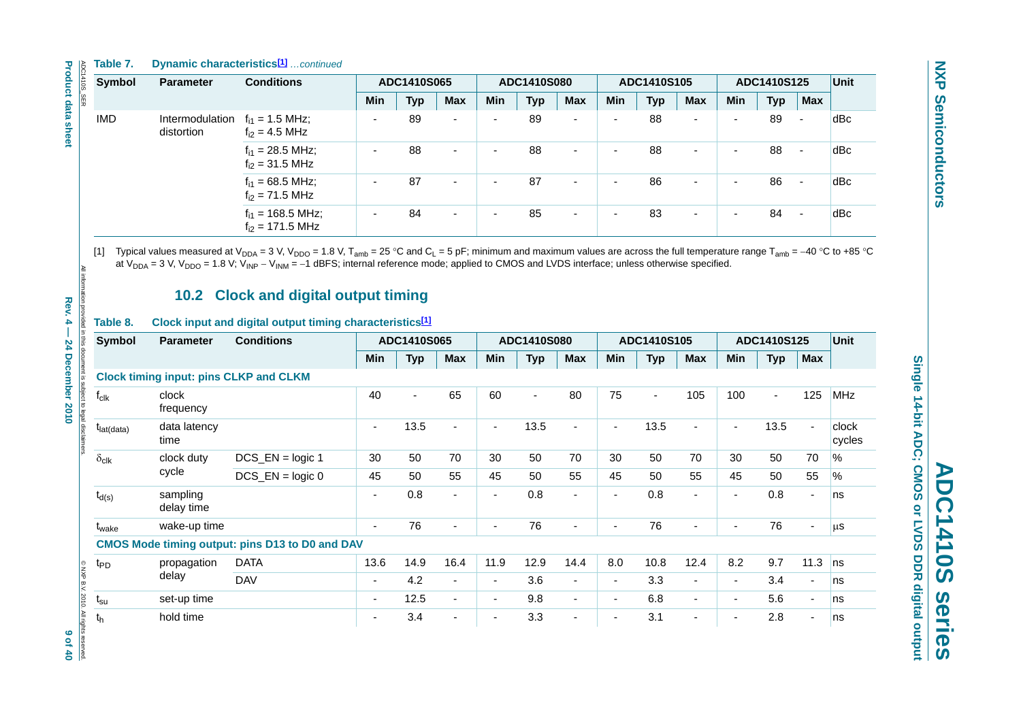**Table 7. Dynamic characteristics[1]** *…continued*

|                                                                                       | Table 7.                  |                                               | <b>Dynamic characteristics<sup>[1]</sup></b> continued                        |                       |                |                          |                          |                |                          |                |                                  |                          |                          |             |                       |                 |
|---------------------------------------------------------------------------------------|---------------------------|-----------------------------------------------|-------------------------------------------------------------------------------|-----------------------|----------------|--------------------------|--------------------------|----------------|--------------------------|----------------|----------------------------------|--------------------------|--------------------------|-------------|-----------------------|-----------------|
| ADC1410S_SER                                                                          | <b>Symbol</b>             | <b>Parameter</b>                              | <b>Conditions</b>                                                             |                       | ADC1410S065    |                          |                          | ADC1410S080    |                          |                | ADC1410S105                      |                          |                          | ADC1410S125 |                       | Unit            |
|                                                                                       |                           |                                               |                                                                               | Min                   | <b>Typ</b>     | Max                      | Min                      | <b>Typ</b>     | Max                      | Min            | <b>Typ</b>                       | Max                      | Min                      | <b>Typ</b>  | <b>Max</b>            |                 |
| <b>Product data sheet</b>                                                             | <b>IMD</b>                | Intermodulation<br>distortion                 | $f_{i1} = 1.5$ MHz;<br>$f_{i2} = 4.5$ MHz                                     |                       | 89             |                          |                          | 89             |                          |                | 88                               |                          |                          | 89          |                       | dBc             |
|                                                                                       |                           |                                               | $f_{i1} = 28.5$ MHz;<br>$f_{i2} = 31.5$ MHz                                   | ÷,                    | 88             | $\blacksquare$           |                          | 88             | $\overline{a}$           |                | 88                               | $\overline{a}$           | ä,                       | 88          | $\tilde{\phantom{a}}$ | dBc             |
|                                                                                       |                           |                                               | $f_{i1} = 68.5$ MHz;<br>$f_{i2} = 71.5$ MHz                                   | Ĭ.                    | 87             | $\blacksquare$           |                          | 87             | $\overline{a}$           |                | 86                               | $\overline{a}$           |                          | 86          | $\overline{a}$        | dBc             |
|                                                                                       |                           |                                               | $f_{i1} = 168.5$ MHz;<br>$f_{i2} = 171.5$ MHz                                 |                       | 84             | $\blacksquare$           |                          | 85             | $\blacksquare$           |                | 83                               | ä,                       |                          | 84          |                       | dBc             |
| All information provided in this document is subject to legal disclaimers<br>Rev. 4 – | Table 8.<br><b>Symbol</b> | <b>Parameter</b>                              | Clock input and digital output timing characteristics[1]<br><b>Conditions</b> |                       | ADC1410S065    |                          |                          | ADC1410S080    |                          |                | ADC1410S105<br>Min<br><b>Typ</b> |                          |                          | ADC1410S125 |                       | <b>Unit</b>     |
|                                                                                       |                           |                                               |                                                                               |                       |                |                          |                          |                |                          |                |                                  |                          |                          |             |                       |                 |
|                                                                                       |                           |                                               |                                                                               | Min                   | <b>Typ</b>     | <b>Max</b>               | Min                      | <b>Typ</b>     | <b>Max</b>               |                |                                  | <b>Max</b>               | <b>Min</b>               | <b>Typ</b>  | <b>Max</b>            |                 |
|                                                                                       |                           | <b>Clock timing input: pins CLKP and CLKM</b> |                                                                               |                       |                |                          |                          |                |                          |                |                                  |                          |                          |             |                       |                 |
|                                                                                       | $f_{clk}$                 | clock                                         |                                                                               | 40                    | $\blacksquare$ | 65                       | 60                       | $\blacksquare$ | 80                       | 75             | $\blacksquare$                   | 105                      | 100                      |             | 125                   | <b>MHz</b>      |
| 24 December 2010                                                                      |                           | frequency                                     |                                                                               |                       |                |                          |                          |                |                          |                |                                  |                          |                          |             |                       |                 |
|                                                                                       | t <sub>lat(data)</sub>    | data latency<br>time                          |                                                                               | $\tilde{\phantom{a}}$ | 13.5           | $\blacksquare$           | $\overline{\phantom{a}}$ | 13.5           | $\mathbf{r}$             | $\blacksquare$ | 13.5                             | $\blacksquare$           | $\blacksquare$           | 13.5        | ä,                    | clock<br>cycles |
|                                                                                       | $\delta_{\text{clk}}$     | clock duty                                    | $DCS$ $EN = logic 1$                                                          | 30                    | 50             | 70                       | 30                       | 50             | 70                       | 30             | 50                               | 70                       | 30                       | 50          | 70                    | %               |
|                                                                                       |                           | cycle                                         | $DCS$ _EN = logic 0                                                           | 45                    | 50             | 55                       | 45                       | 50             | 55                       | 45             | 50                               | 55                       | 45                       | 50          | 55                    | %               |
|                                                                                       | $t_{d(s)}$                | sampling<br>delay time                        |                                                                               |                       | 0.8            | $\blacksquare$           | $\blacksquare$           | 0.8            | $\overline{\phantom{a}}$ |                | 0.8                              | $\overline{\phantom{a}}$ | ÷,                       | 0.8         | $\blacksquare$        | ns              |
|                                                                                       | t <sub>wake</sub>         | wake-up time                                  |                                                                               | $\sim$                | 76             | $\overline{\phantom{a}}$ |                          | 76             | L.                       |                | 76                               | ÷,                       | ä,                       | 76          |                       | $\mu$ s         |
|                                                                                       |                           |                                               | <b>CMOS Mode timing output: pins D13 to D0 and DAV</b>                        |                       |                |                          |                          |                |                          |                |                                  |                          |                          |             |                       |                 |
|                                                                                       | t <sub>PD</sub>           | propagation                                   | <b>DATA</b>                                                                   | 13.6                  | 14.9           | 16.4                     | 11.9                     | 12.9           | 14.4                     | 8.0            | 10.8                             | 12.4                     | 8.2                      | 9.7         | 11.3                  | ns              |
|                                                                                       |                           | delay                                         | <b>DAV</b>                                                                    | $\overline{a}$        | 4.2            | $\blacksquare$           | $\sim$                   | 3.6            | $\overline{\phantom{a}}$ | $\overline{a}$ | 3.3                              | $\blacksquare$           | ä,                       | 3.4         |                       | ns              |
|                                                                                       | $t_{\rm su}$              | set-up time                                   |                                                                               | $\sim$                | 12.5           | $\overline{\phantom{a}}$ | $\blacksquare$           | 9.8            |                          | $\blacksquare$ | 6.8                              | $\overline{\phantom{a}}$ | $\overline{\phantom{a}}$ | 5.6         | $\blacksquare$        | ns              |
|                                                                                       | $\mathfrak{t}_\mathsf{h}$ | hold time                                     |                                                                               | $\blacksquare$        | 3.4            | $\blacksquare$           | $\overline{a}$           | 3.3            | $\blacksquare$           |                | 3.1                              | $\blacksquare$           | ä,                       | 2.8         |                       | ns              |
| C NXP B.V. 2010. All rights reserved<br>9 of 40                                       |                           |                                               |                                                                               |                       |                |                          |                          |                |                          |                |                                  |                          |                          |             |                       |                 |

### **10.2 Clock and digital output timing**

### <span id="page-8-0"></span>**Table 8. Clock input and digital output timing characteristics[\[1\]](#page-9-0)**

<span id="page-8-1"></span>

|                                                 | <b>Symbol</b>          | <b>Conditions</b><br><b>Parameter</b> |                                                        |                | ADC1410S065 |                          |                          | ADC1410S080 |                          |                          | ADC1410S105    |                          | ADC1410S125              | <b>Unit</b> |                |                 |
|-------------------------------------------------|------------------------|---------------------------------------|--------------------------------------------------------|----------------|-------------|--------------------------|--------------------------|-------------|--------------------------|--------------------------|----------------|--------------------------|--------------------------|-------------|----------------|-----------------|
|                                                 |                        |                                       |                                                        | Min            | <b>Typ</b>  | Max                      | Min                      | <b>Typ</b>  | <b>Max</b>               | Min                      | <b>Typ</b>     | <b>Max</b>               | Min                      | Typ         | <b>Max</b>     |                 |
|                                                 |                        |                                       | <b>Clock timing input: pins CLKP and CLKM</b>          |                |             |                          |                          |             |                          |                          |                |                          |                          |             |                |                 |
|                                                 | $f_{cik}$              | clock<br>frequency                    |                                                        | 40             |             | 65                       | 60                       |             | 80                       | 75                       | $\blacksquare$ | 105                      | 100                      | ä,          | 125            | <b>MHz</b>      |
| in this document is subject to legal disclaimer | $t_{\text{lat(data)}}$ | data latency<br>time                  |                                                        |                | 13.5        | $\overline{\phantom{0}}$ | $\overline{\phantom{0}}$ | 13.5        | $\overline{\phantom{a}}$ | $\overline{\phantom{a}}$ | 13.5           | $\overline{\phantom{0}}$ | $\overline{\phantom{a}}$ | 13.5        | $\sim$         | clock<br>cycles |
|                                                 | $\delta_{\text{clk}}$  | clock duty                            | $DCS$ <sub>_</sub> $EN = logic 1$                      | 30             | 50          | 70                       | 30                       | 50          | 70                       | 30                       | 50             | 70                       | 30                       | 50          | 70             | %               |
|                                                 |                        | cycle                                 | $DCS$ _EN = $logic 0$                                  | 45             | 50          | 55                       | 45                       | 50          | 55                       | 45                       | 50             | 55                       | 45                       | 50          | 55             | %               |
|                                                 | $t_{d(s)}$             | sampling<br>delay time                |                                                        | $\overline{a}$ | 0.8         | ÷.                       | $\blacksquare$           | 0.8         | $\blacksquare$           | $\overline{\phantom{a}}$ | 0.8            | $\blacksquare$           | $\overline{\phantom{a}}$ | 0.8         | $\blacksquare$ | ns              |
|                                                 | t <sub>wake</sub>      | wake-up time                          |                                                        |                | 76          | $\overline{\phantom{0}}$ |                          | 76          | $\overline{\phantom{a}}$ | $\blacksquare$           | 76             | $\blacksquare$           | $\overline{\phantom{0}}$ | 76          | $\sim$         | <b>us</b>       |
|                                                 |                        |                                       | <b>CMOS Mode timing output: pins D13 to D0 and DAV</b> |                |             |                          |                          |             |                          |                          |                |                          |                          |             |                |                 |
|                                                 | t <sub>PD</sub>        | propagation                           | <b>DATA</b>                                            | 13.6           | 14.9        | 16.4                     | 11.9                     | 12.9        | 14.4                     | 8.0                      | 10.8           | 12.4                     | 8.2                      | 9.7         | 11.3           | $ $ ns          |
|                                                 |                        | delay                                 | <b>DAV</b>                                             |                | 4.2         | $\overline{\phantom{a}}$ | $\overline{\phantom{a}}$ | 3.6         | $\blacksquare$           | $\overline{\phantom{a}}$ | 3.3            | $\overline{\phantom{a}}$ | $\overline{\phantom{a}}$ | 3.4         | $\sim$         | ns              |
|                                                 | $t_{\rm su}$           | set-up time                           |                                                        |                | 12.5        | $\blacksquare$           | $\blacksquare$           | 9.8         | $\blacksquare$           | $\overline{\phantom{a}}$ | 6.8            | $\sim$                   | $\blacksquare$           | 5.6         | $\sim$         | ns              |
|                                                 | $t_h$                  | hold time                             |                                                        |                | 3.4         | $\overline{\phantom{a}}$ |                          | 3.3         | $\overline{\phantom{a}}$ | $\overline{\phantom{a}}$ | 3.1            | $\overline{\phantom{a}}$ | $\overline{\phantom{a}}$ | 2.8         | ٠              | ns              |
| ONXP B.V. 2010. All rights reserved             |                        |                                       |                                                        |                |             |                          |                          |             |                          |                          |                |                          |                          |             |                |                 |

 $\frac{1}{2}$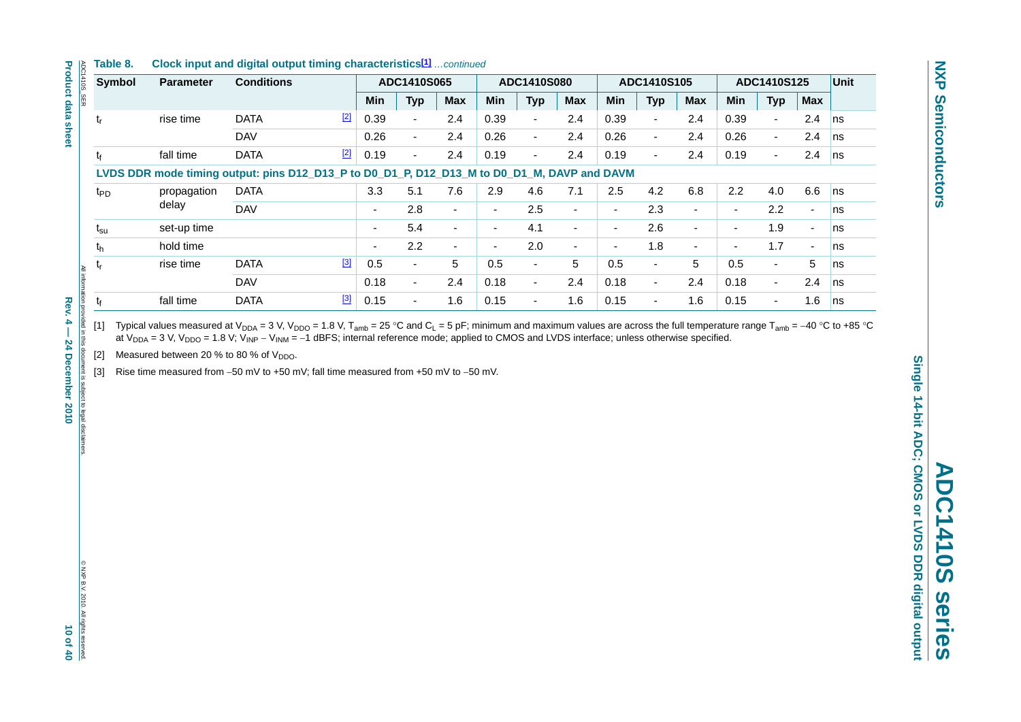# **ADC1410S series ADC1410S** series

# Single 14-bit ADC; CMOS or LVDS DDR digital output **Single 14-bit ADC; CMOS or LVDS DDR digital output**

| Symbol          | <b>Parameter</b> | <b>Conditions</b>                                                                           |             |      | ADC1410S065 |                          |                | ADC1410S080              |                          |            | ADC1410S105              |                          |                          | ADC1410S125    |                          | Unit      |
|-----------------|------------------|---------------------------------------------------------------------------------------------|-------------|------|-------------|--------------------------|----------------|--------------------------|--------------------------|------------|--------------------------|--------------------------|--------------------------|----------------|--------------------------|-----------|
|                 |                  |                                                                                             |             | Min  | <b>Typ</b>  | Max                      | Min            | <b>Typ</b>               | <b>Max</b>               | <b>Min</b> | <b>Typ</b>               | Max                      | <b>Min</b>               | <b>Typ</b>     | <b>Max</b>               |           |
| $t_{r}$         | rise time        | <b>DATA</b>                                                                                 | $\boxed{2}$ | 0.39 | $\sim$      | 2.4                      | 0.39           | $\overline{\phantom{a}}$ | 2.4                      | 0.39       | $\blacksquare$           | 2.4                      | 0.39                     | $\overline{a}$ | 2.4                      | ns        |
|                 |                  | <b>DAV</b>                                                                                  |             | 0.26 | $\sim$      | 2.4                      | 0.26           | $\blacksquare$           | 2.4                      | 0.26       | $\blacksquare$           | 2.4                      | 0.26                     | $\sim$         | 2.4                      | ns        |
| $t_{\rm f}$     | fall time        | <b>DATA</b>                                                                                 | $[2]$       | 0.19 | $\sim$      | 2.4                      | 0.19           | $\sim$                   | 2.4                      | 0.19       | $\blacksquare$           | 2.4                      | 0.19                     | $\sim$         | 2.4                      | ns        |
|                 |                  | LVDS DDR mode timing output: pins D12_D13_P to D0_D1_P, D12_D13_M to D0_D1_M, DAVP and DAVM |             |      |             |                          |                |                          |                          |            |                          |                          |                          |                |                          |           |
| t <sub>PD</sub> | propagation      | <b>DATA</b>                                                                                 |             | 3.3  | 5.1         | 7.6                      | 2.9            | 4.6                      | 7.1                      | 2.5        | 4.2                      | 6.8                      | $2.2^{\circ}$            | 4.0            | 6.6                      | <b>ns</b> |
|                 | delay            | <b>DAV</b>                                                                                  |             |      | 2.8         | $\overline{\phantom{a}}$ | $\blacksquare$ | 2.5                      | ٠                        | $\sim$     | 2.3                      | $\overline{\phantom{a}}$ | ۰.                       | 2.2            | $\blacksquare$           | ns        |
| $t_{\rm su}$    | set-up time      |                                                                                             |             | ۰    | 5.4         | $\blacksquare$           | $\sim$         | 4.1                      | $\overline{\phantom{a}}$ | $\sim$     | 2.6                      | ٠                        | $\overline{\phantom{0}}$ | 1.9            | $\blacksquare$           | ns        |
| $t_{h}$         | hold time        |                                                                                             |             | ۰    | 2.2         | $\blacksquare$           | $\blacksquare$ | 2.0                      | ٠                        |            | 1.8                      | $\blacksquare$           | $\overline{\phantom{0}}$ | 1.7            | $\overline{\phantom{a}}$ | ns        |
| $t_{\rm r}$     | rise time        | <b>DATA</b>                                                                                 | $[3]$       | 0.5  | $\sim$      | 5                        | 0.5            | $\blacksquare$           | 5                        | 0.5        | $\blacksquare$           | 5                        | 0.5                      | $\blacksquare$ | 5                        | ns        |
|                 |                  | <b>DAV</b>                                                                                  |             | 0.18 | $\sim$      | 2.4                      | 0.18           | $\blacksquare$           | 2.4                      | 0.18       | $\overline{\phantom{a}}$ | 2.4                      | 0.18                     | $\sim$         | 2.4                      | ns        |
| t               | fall time        | <b>DATA</b>                                                                                 | $[3]$       | 0.15 | $\sim$      | 1.6                      | 0.15           | $\blacksquare$           | 1.6                      | 0.15       | $\blacksquare$           | 1.6                      | 0.15                     | $\blacksquare$ | 1.6                      | ns        |

<span id="page-9-0"></span>[1] Typical values measured at V<sub>DDA</sub> = 3 V, V<sub>DDO</sub> = 1.8 V, T<sub>amb</sub> = 25 °C and C<sub>L</sub> = 5 pF; minimum and maximum values are across the full temperature range T<sub>amb</sub> = −40 °C to +85 °C at V<sub>DDA</sub> = 3 V, V<sub>DDO</sub> = 1.8 V; V<sub>INP</sub> − V<sub>INM</sub> = −1 dBFS; internal reference mode; applied to CMOS and LVDS interface; unless otherwise specified.

<span id="page-9-1"></span>[2] Measured between 20 % to 80 % of  $V_{DDO}$ .

<span id="page-9-2"></span>[3] Rise time measured from −50 mV to +50 mV; fall time measured from +50 mV to −50 mV.

**Table 8. Clock input and digital output timing characteristics[1]** *…continued*

**Product data sheet ADC1410S\_SER**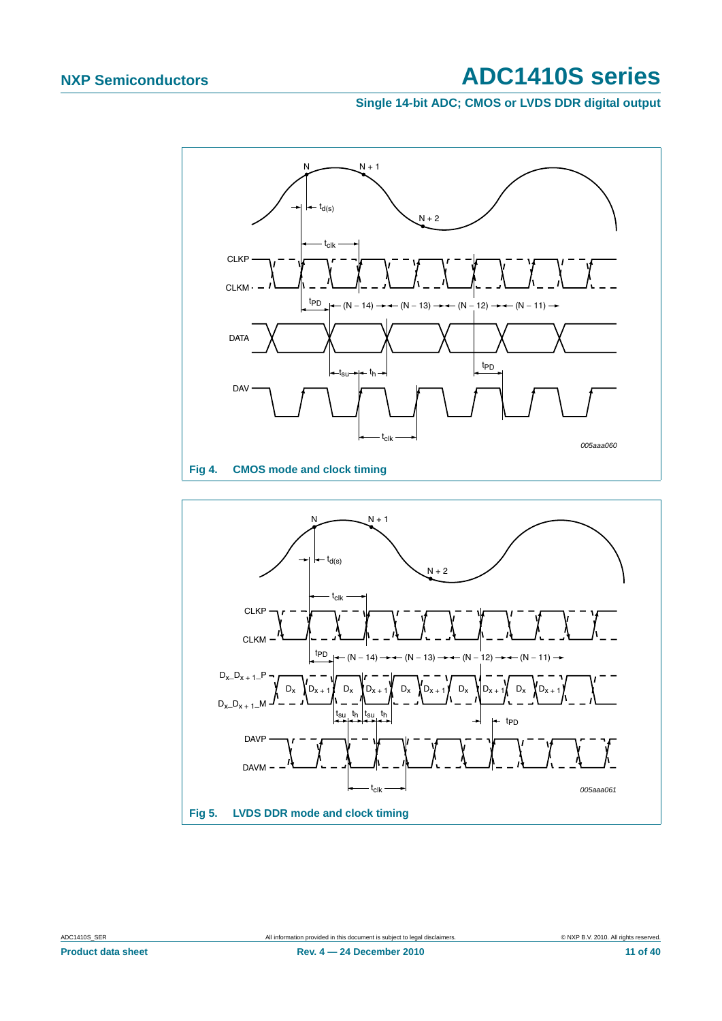**Single 14-bit ADC; CMOS or LVDS DDR digital output**



<span id="page-10-0"></span>

<span id="page-10-1"></span>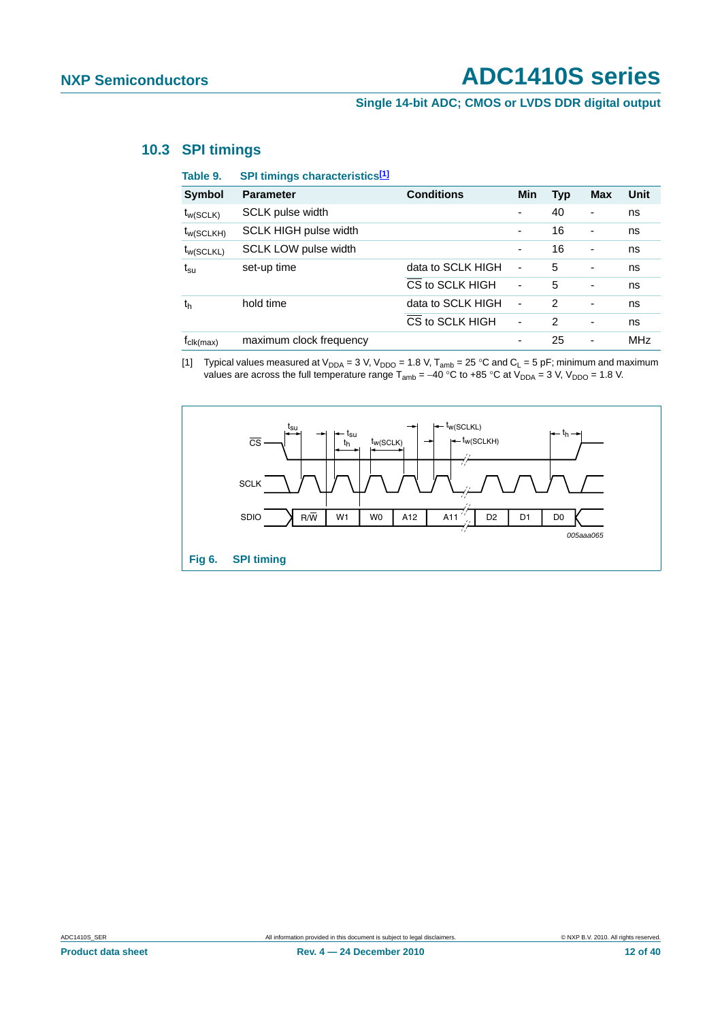### **Single 14-bit ADC; CMOS or LVDS DDR digital output**

### <span id="page-11-1"></span>**10.3 SPI timings**

| Table 9.              | SPI timings characteristics[1] |                   |                          |               |            |            |
|-----------------------|--------------------------------|-------------------|--------------------------|---------------|------------|------------|
| <b>Symbol</b>         | <b>Parameter</b>               | <b>Conditions</b> | Min                      | <b>Typ</b>    | <b>Max</b> | Unit       |
| $t_{w(SCLK)}$         | <b>SCLK pulse width</b>        |                   | $\overline{\phantom{a}}$ | 40            |            | ns         |
| $t_{W(SCLKH)}$        | <b>SCLK HIGH pulse width</b>   |                   | $\overline{\phantom{a}}$ | 16            | ٠          | ns         |
| $t_{W(SCLKL)}$        | SCLK LOW pulse width           |                   | $\overline{\phantom{a}}$ | 16            | ۰          | ns         |
| $t_{\rm su}$          | set-up time                    | data to SCLK HIGH | ÷,                       | 5             | ۰          | ns         |
|                       |                                | CS to SCLK HIGH   | ÷,                       | 5             |            | ns         |
| t <sub>h</sub>        | hold time                      | data to SCLK HIGH | ٠                        | $\mathcal{P}$ |            | ns         |
|                       |                                | CS to SCLK HIGH   | $\blacksquare$           | 2             | ۰          | ns         |
| $r_{\text{clk(max)}}$ | maximum clock frequency        |                   |                          | 25            | ۰          | <b>MHz</b> |

<span id="page-11-0"></span>[1] Typical values measured at  $V_{DDA} = 3 V$ ,  $V_{DDO} = 1.8 V$ ,  $T_{amb} = 25 °C$  and  $C_L = 5 pF$ ; minimum and maximum values are across the full temperature range  $T_{amb} = -40$  °C to +85 °C at  $V_{DDA} = 3$  V,  $V_{DDO} = 1.8$  V.

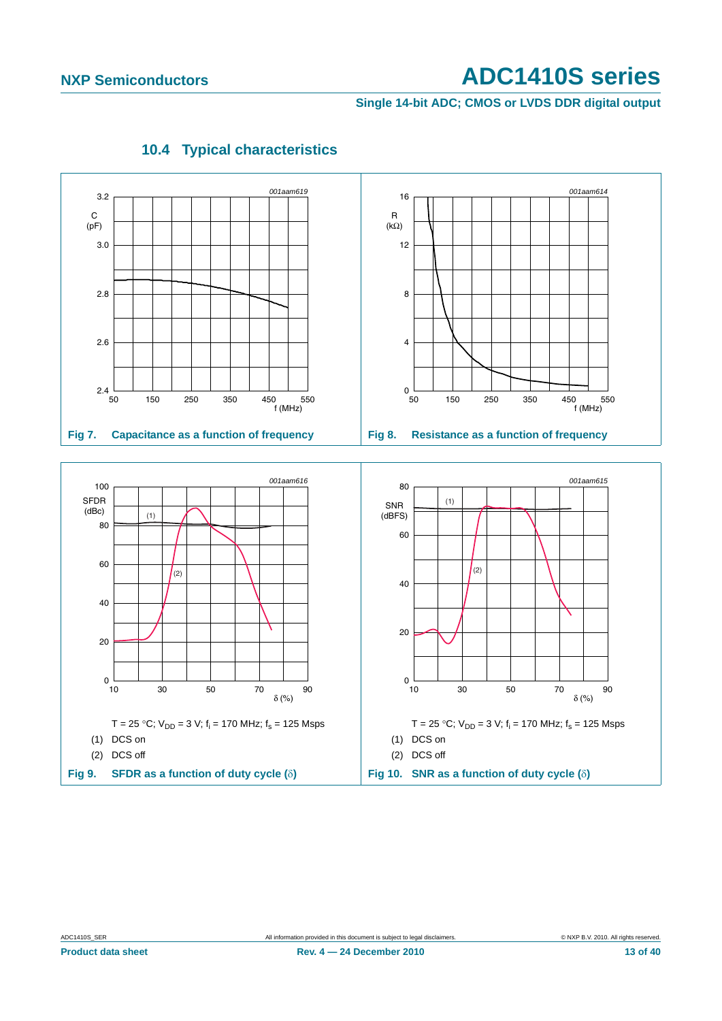**Single 14-bit ADC; CMOS or LVDS DDR digital output**

<span id="page-12-0"></span>

### **10.4 Typical characteristics**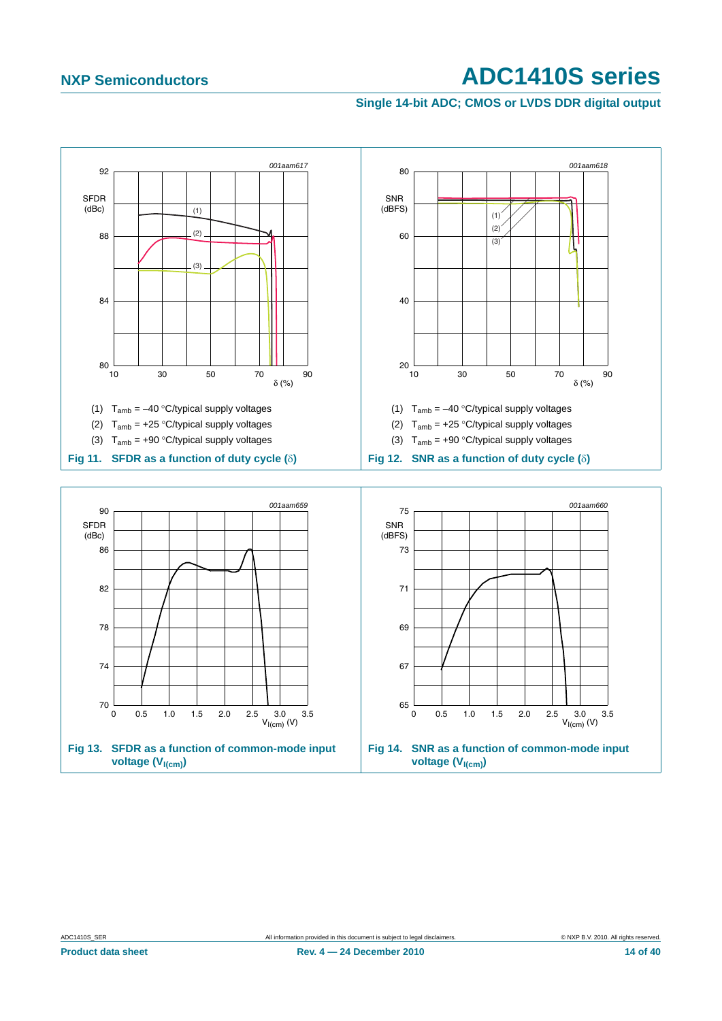### **Single 14-bit ADC; CMOS or LVDS DDR digital output**

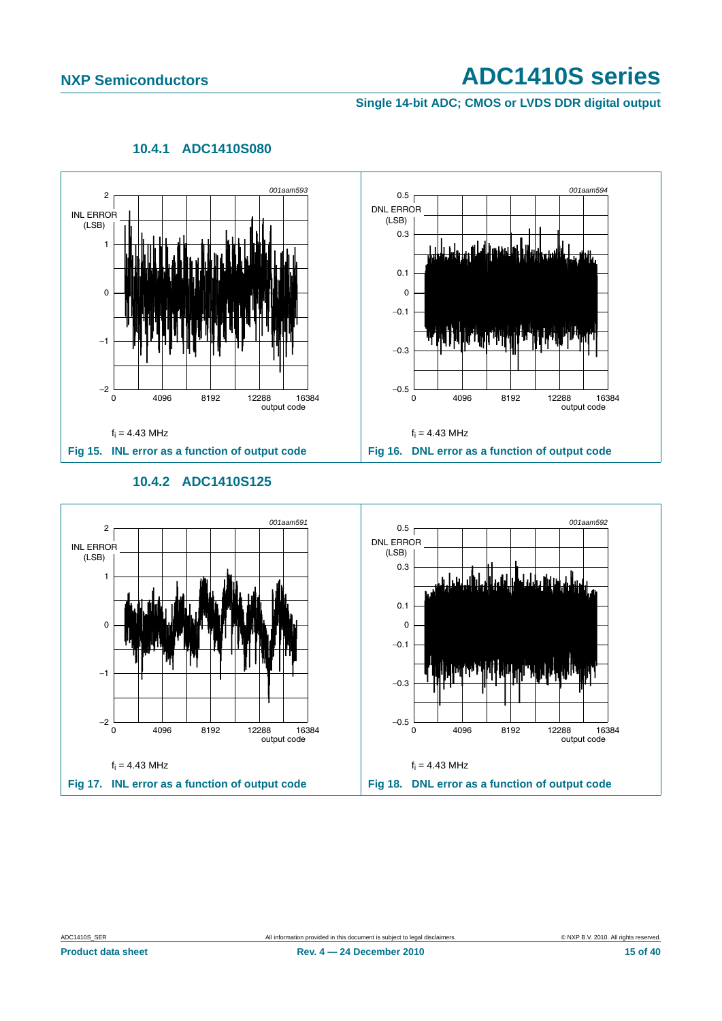### **Single 14-bit ADC; CMOS or LVDS DDR digital output**

<span id="page-14-0"></span>

### **10.4.1 ADC1410S080**

### **10.4.2 ADC1410S125**

<span id="page-14-1"></span>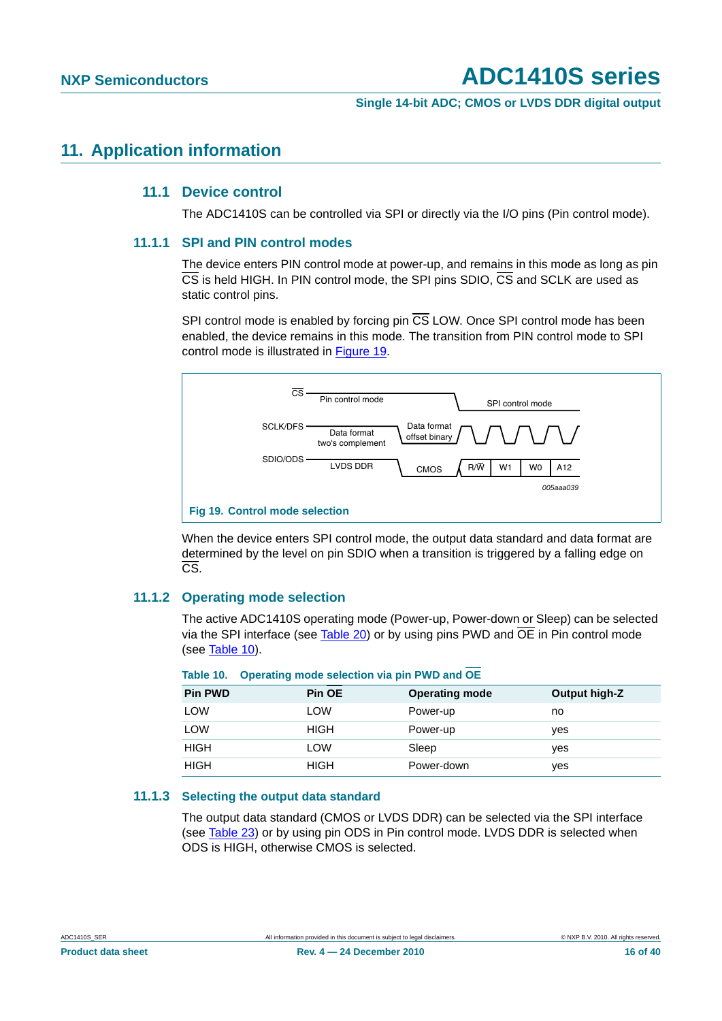**Single 14-bit ADC; CMOS or LVDS DDR digital output**

### <span id="page-15-3"></span><span id="page-15-2"></span>**11. Application information**

### **11.1 Device control**

The ADC1410S can be controlled via SPI or directly via the I/O pins (Pin control mode).

### <span id="page-15-4"></span>**11.1.1 SPI and PIN control modes**

The device enters PIN control mode at power-up, and remains in this mode as long as pin CS is held HIGH. In PIN control mode, the SPI pins SDIO, CS and SCLK are used as static control pins.

SPI control mode is enabled by forcing pin  $\overline{CS}$  LOW. Once SPI control mode has been enabled, the device remains in this mode. The transition from PIN control mode to SPI control mode is illustrated in [Figure 19.](#page-15-1)



<span id="page-15-1"></span>When the device enters SPI control mode, the output data standard and data format are determined by the level on pin SDIO when a transition is triggered by a falling edge on CS.

### <span id="page-15-5"></span>**11.1.2 Operating mode selection**

The active ADC1410S operating mode (Power-up, Power-down or Sleep) can be selected via the SPI interface (see [Table 20](#page-30-0)) or by using pins PWD and  $\overline{OE}$  in Pin control mode (see [Table 10](#page-15-0)).

| <b>Pin PWD</b> | Pin OE      | <b>Operating mode</b> | Output high-Z |
|----------------|-------------|-----------------------|---------------|
| LOW            | LOW         | Power-up              | no            |
| LOW            | <b>HIGH</b> | Power-up              | ves           |
| <b>HIGH</b>    | LOW         | Sleep                 | ves           |
| <b>HIGH</b>    | <b>HIGH</b> | Power-down            | yes           |

### <span id="page-15-0"></span>**Table 10. Operating mode selection via pin PWD and OE**

### <span id="page-15-6"></span>**11.1.3 Selecting the output data standard**

The output data standard (CMOS or LVDS DDR) can be selected via the SPI interface (see [Table 23](#page-31-0)) or by using pin ODS in Pin control mode. LVDS DDR is selected when ODS is HIGH, otherwise CMOS is selected.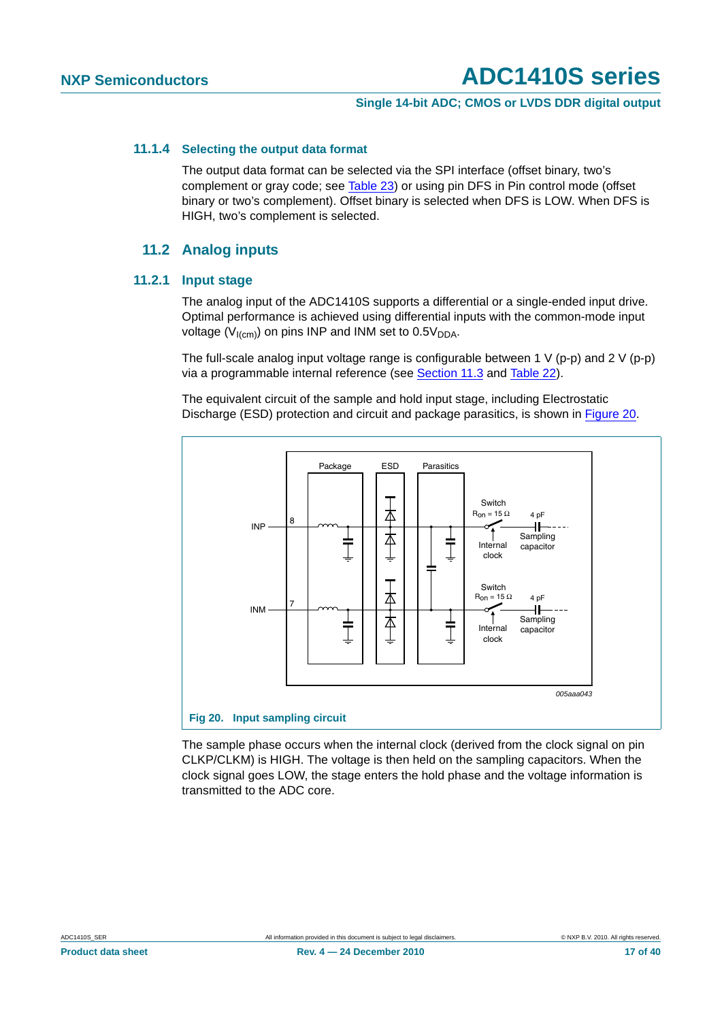### **Single 14-bit ADC; CMOS or LVDS DDR digital output**

### <span id="page-16-1"></span>**11.1.4 Selecting the output data format**

The output data format can be selected via the SPI interface (offset binary, two's complement or gray code; see [Table 23](#page-31-0)) or using pin DFS in Pin control mode (offset binary or two's complement). Offset binary is selected when DFS is LOW. When DFS is HIGH, two's complement is selected.

### **11.2 Analog inputs**

### <span id="page-16-3"></span><span id="page-16-2"></span>**11.2.1 Input stage**

The analog input of the ADC1410S supports a differential or a single-ended input drive. Optimal performance is achieved using differential inputs with the common-mode input voltage ( $V_{I(cm)}$ ) on pins INP and INM set to 0.5 $V_{DDA}$ .

The full-scale analog input voltage range is configurable between 1 V (p-p) and 2 V (p-p) via a programmable internal reference (see [Section 11.3](#page-18-0) and [Table 22\)](#page-31-1).

The equivalent circuit of the sample and hold input stage, including Electrostatic Discharge (ESD) protection and circuit and package parasitics, is shown in [Figure 20.](#page-16-0)



<span id="page-16-0"></span>The sample phase occurs when the internal clock (derived from the clock signal on pin CLKP/CLKM) is HIGH. The voltage is then held on the sampling capacitors. When the clock signal goes LOW, the stage enters the hold phase and the voltage information is transmitted to the ADC core.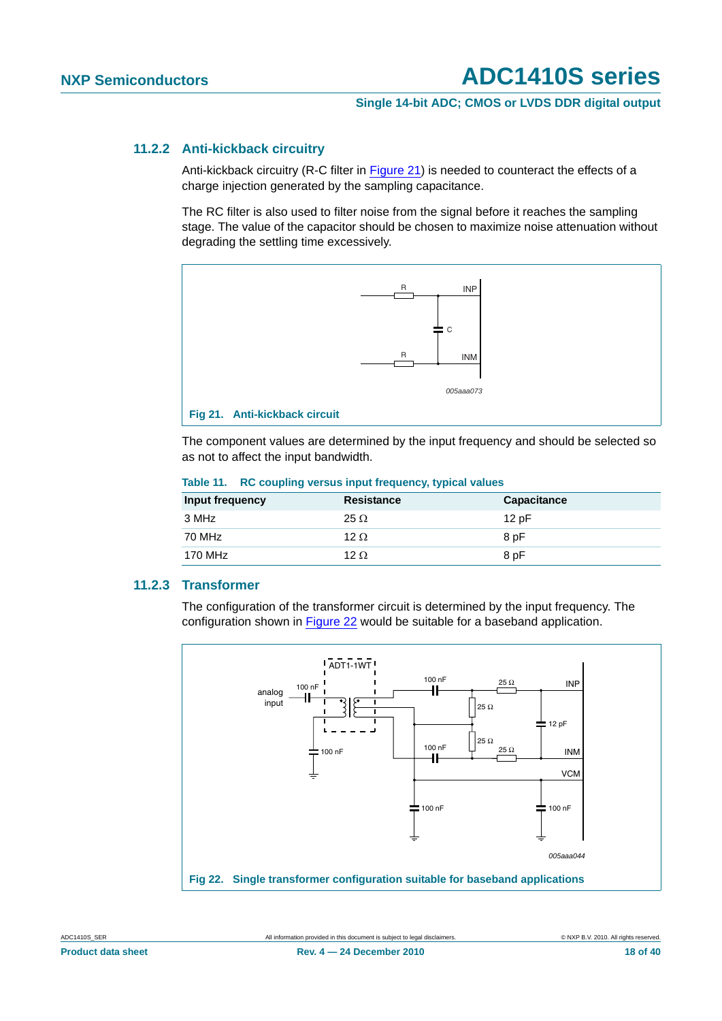### **Single 14-bit ADC; CMOS or LVDS DDR digital output**

### <span id="page-17-2"></span>**11.2.2 Anti-kickback circuitry**

Anti-kickback circuitry (R-C filter in [Figure 21](#page-17-0)) is needed to counteract the effects of a charge injection generated by the sampling capacitance.

The RC filter is also used to filter noise from the signal before it reaches the sampling stage. The value of the capacitor should be chosen to maximize noise attenuation without degrading the settling time excessively.



<span id="page-17-0"></span>The component values are determined by the input frequency and should be selected so as not to affect the input bandwidth.

| Input frequency | <b>Resistance</b> | <b>Capacitance</b> |
|-----------------|-------------------|--------------------|
| 3 MHz           | $25 \Omega$       | 12pF               |
| 70 MHz          | 12 $\Omega$       | 8 pF               |
| 170 MHz         | 12 $\Omega$       | 8 pF               |

### **Table 11. RC coupling versus input frequency, typical values**

### <span id="page-17-3"></span>**11.2.3 Transformer**

The configuration of the transformer circuit is determined by the input frequency. The configuration shown in [Figure 22](#page-17-1) would be suitable for a baseband application.



<span id="page-17-1"></span>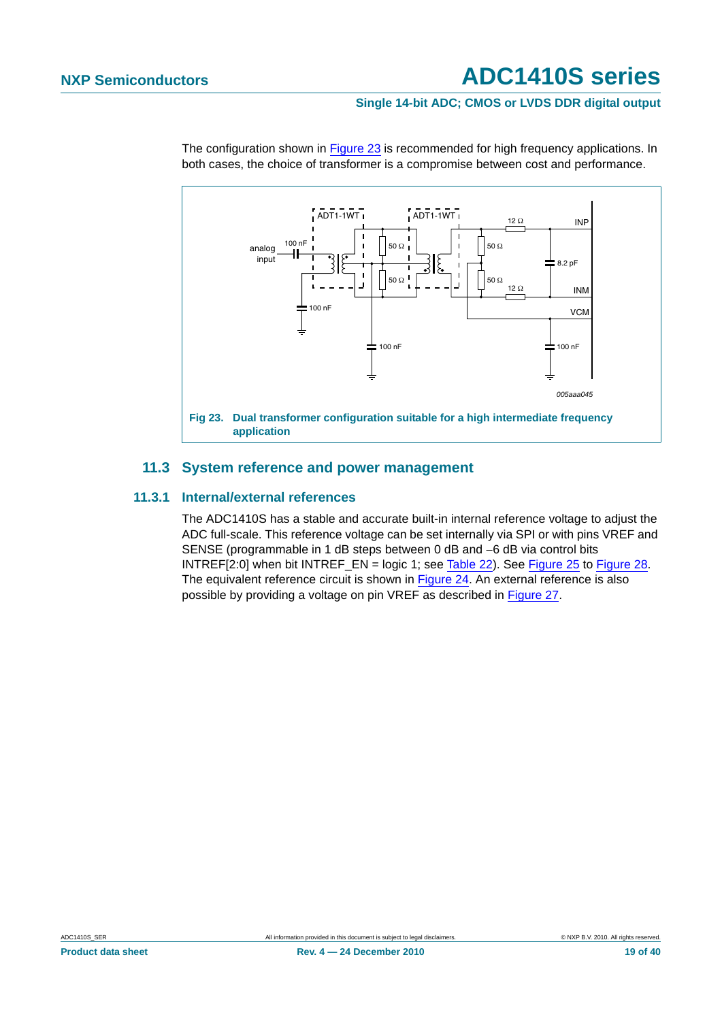### **Single 14-bit ADC; CMOS or LVDS DDR digital output**



The configuration shown in [Figure 23](#page-18-1) is recommended for high frequency applications. In both cases, the choice of transformer is a compromise between cost and performance.

### <span id="page-18-1"></span>**11.3 System reference and power management**

### <span id="page-18-2"></span><span id="page-18-0"></span>**11.3.1 Internal/external references**

The ADC1410S has a stable and accurate built-in internal reference voltage to adjust the ADC full-scale. This reference voltage can be set internally via SPI or with pins VREF and SENSE (programmable in 1 dB steps between 0 dB and −6 dB via control bits INTREF[2:0] when bit INTREF\_EN = logic 1; see [Table 22](#page-31-1)). See [Figure 25](#page-20-0) to [Figure 28](#page-20-1). The equivalent reference circuit is shown in [Figure 24.](#page-19-0) An external reference is also possible by providing a voltage on pin VREF as described in [Figure 27](#page-20-2).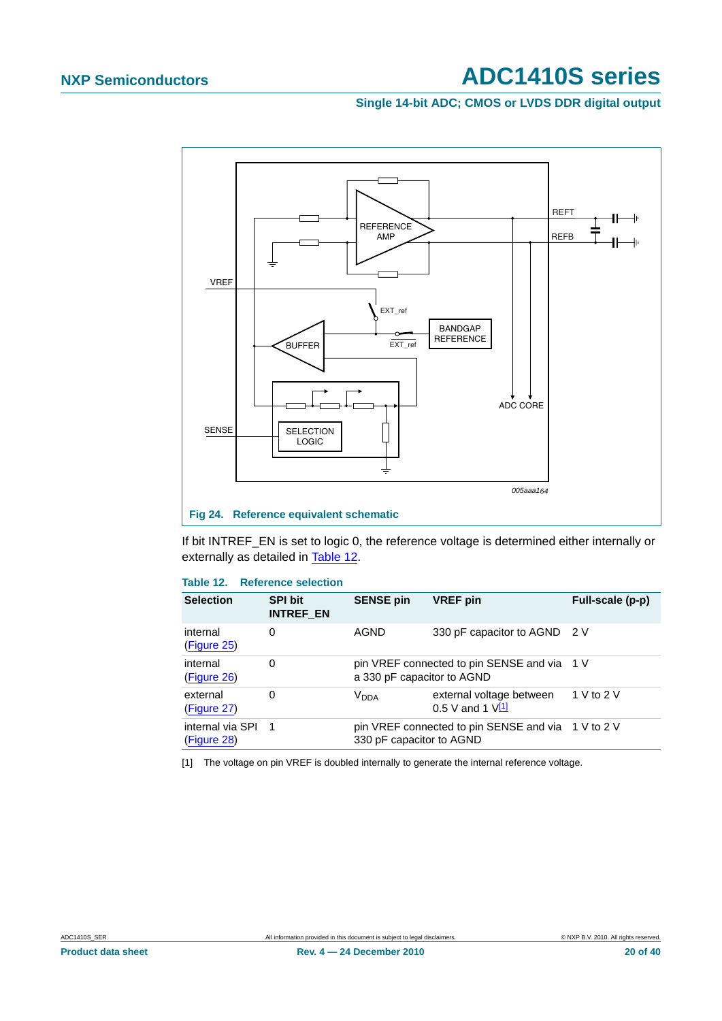### **Single 14-bit ADC; CMOS or LVDS DDR digital output**



<span id="page-19-0"></span>If bit INTREF\_EN is set to logic 0, the reference voltage is determined either internally or externally as detailed in [Table 12.](#page-19-1)

### <span id="page-19-1"></span>**Table 12. Reference selection**

| <b>Selection</b>                | <b>SPI bit</b><br><b>INTREF EN</b> | <b>SENSE pin</b>           | <b>VREF</b> pin                                    | Full-scale (p-p) |
|---------------------------------|------------------------------------|----------------------------|----------------------------------------------------|------------------|
| internal<br>(Figure 25)         | 0                                  | AGND                       | 330 pF capacitor to AGND 2 V                       |                  |
| internal<br>(Figure 26)         | 0                                  | a 330 pF capacitor to AGND | pin VREF connected to pin SENSE and via 1 V        |                  |
| external<br>(Figure 27)         | 0                                  | <b>V<sub>DDA</sub></b>     | external voltage between<br>0.5 V and 1 $V(1)$     | 1 V to 2 V       |
| internal via SPI<br>(Figure 28) | $\overline{1}$                     | 330 pF capacitor to AGND   | pin VREF connected to pin SENSE and via 1 V to 2 V |                  |

<span id="page-19-2"></span>[1] The voltage on pin VREF is doubled internally to generate the internal reference voltage.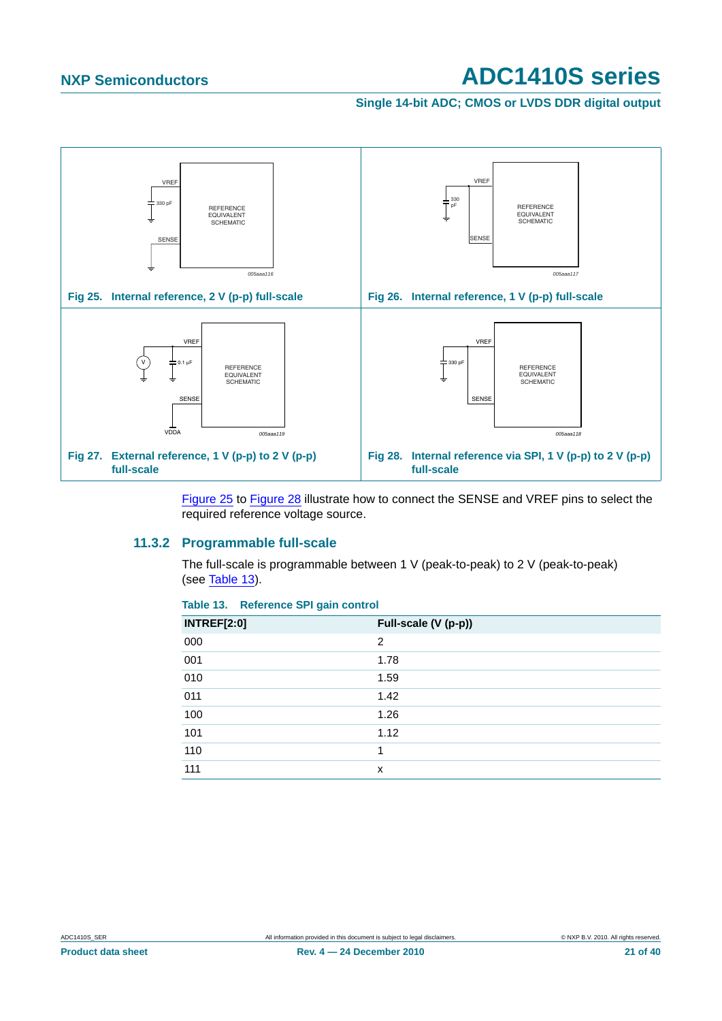<span id="page-20-3"></span>**Single 14-bit ADC; CMOS or LVDS DDR digital output**

<span id="page-20-0"></span>

<span id="page-20-1"></span>[Figure 25](#page-20-0) to [Figure 28](#page-20-1) illustrate how to connect the SENSE and VREF pins to select the required reference voltage source.

### <span id="page-20-5"></span><span id="page-20-2"></span>**11.3.2 Programmable full-scale**

The full-scale is programmable between 1 V (peak-to-peak) to 2 V (peak-to-peak) (see [Table 13](#page-20-4)).

| <b>INTREF[2:0]</b> | Full-scale (V (p-p)) |  |
|--------------------|----------------------|--|
| 000                | 2                    |  |
| 001                | 1.78                 |  |
| 010                | 1.59                 |  |
| 011                | 1.42                 |  |
| 100                | 1.26                 |  |
| 101                | 1.12                 |  |
| 110                | 1                    |  |
| 111                | x                    |  |

### <span id="page-20-4"></span>**Table 13. Reference SPI gain control**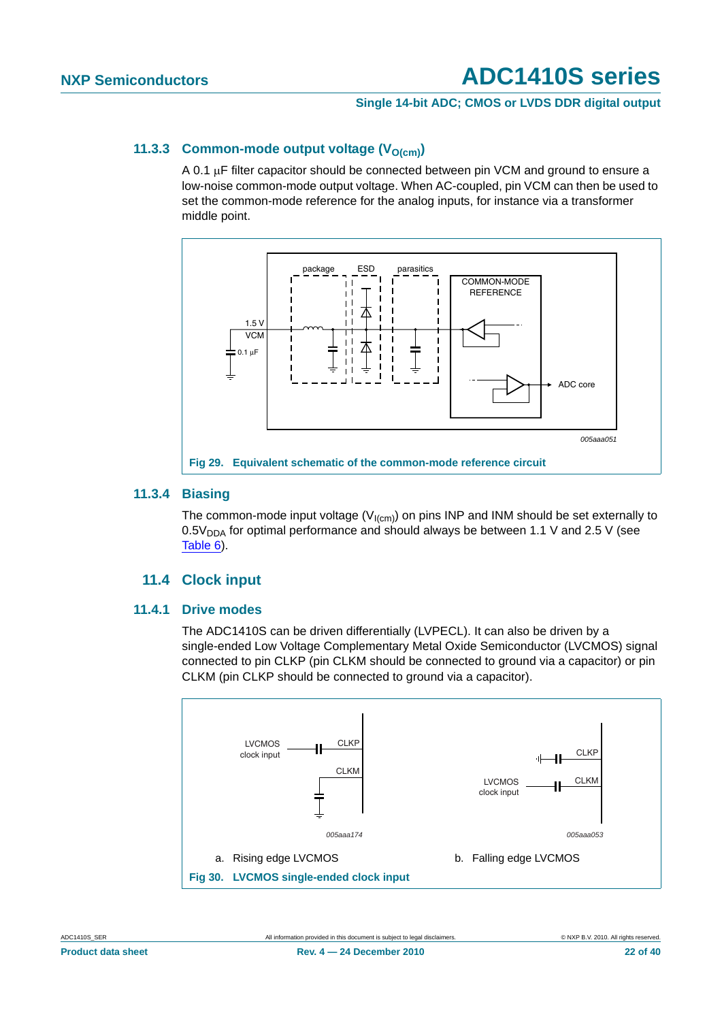### **Single 14-bit ADC; CMOS or LVDS DDR digital output**

### <span id="page-21-0"></span>**11.3.3 Common-mode output voltage (V<sub>O(cm)</sub>)**

A 0.1 μF filter capacitor should be connected between pin VCM and ground to ensure a low-noise common-mode output voltage. When AC-coupled, pin VCM can then be used to set the common-mode reference for the analog inputs, for instance via a transformer middle point.



### <span id="page-21-1"></span>**11.3.4 Biasing**

The common-mode input voltage ( $V_{I(cm)}$ ) on pins INP and INM should be set externally to  $0.5V<sub>DDA</sub>$  for optimal performance and should always be between 1.1 V and 2.5 V (see [Table 6](#page-5-0)).

### **11.4 Clock input**

### <span id="page-21-3"></span><span id="page-21-2"></span>**11.4.1 Drive modes**

The ADC1410S can be driven differentially (LVPECL). It can also be driven by a single-ended Low Voltage Complementary Metal Oxide Semiconductor (LVCMOS) signal connected to pin CLKP (pin CLKM should be connected to ground via a capacitor) or pin CLKM (pin CLKP should be connected to ground via a capacitor).

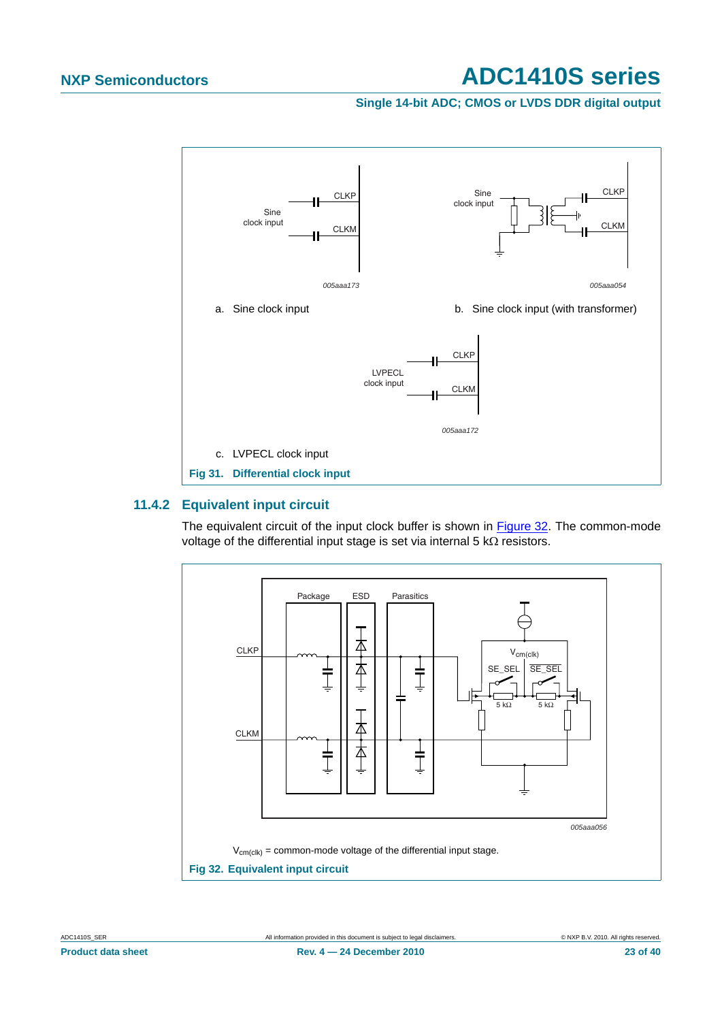### **Single 14-bit ADC; CMOS or LVDS DDR digital output**



### <span id="page-22-1"></span>**11.4.2 Equivalent input circuit**

The equivalent circuit of the input clock buffer is shown in [Figure 32](#page-22-0). The common-mode voltage of the differential input stage is set via internal 5 kΩ resistors.

<span id="page-22-0"></span>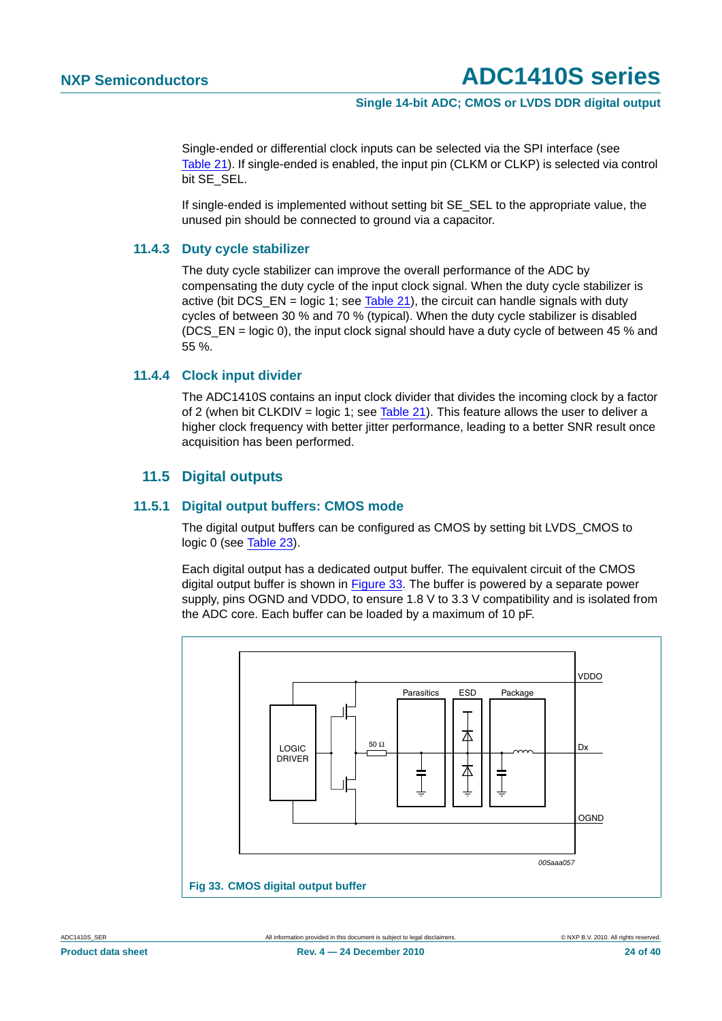### **Single 14-bit ADC; CMOS or LVDS DDR digital output**

Single-ended or differential clock inputs can be selected via the SPI interface (see [Table 21\)](#page-30-1). If single-ended is enabled, the input pin (CLKM or CLKP) is selected via control bit SE\_SEL.

If single-ended is implemented without setting bit SE\_SEL to the appropriate value, the unused pin should be connected to ground via a capacitor.

### <span id="page-23-1"></span>**11.4.3 Duty cycle stabilizer**

The duty cycle stabilizer can improve the overall performance of the ADC by compensating the duty cycle of the input clock signal. When the duty cycle stabilizer is active (bit  $DCS$ \_EN = logic 1; see [Table 21\)](#page-30-1), the circuit can handle signals with duty cycles of between 30 % and 70 % (typical). When the duty cycle stabilizer is disabled (DCS EN = logic 0), the input clock signal should have a duty cycle of between 45 % and 55 %.

### <span id="page-23-2"></span>**11.4.4 Clock input divider**

The ADC1410S contains an input clock divider that divides the incoming clock by a factor of 2 (when bit CLKDIV = logic 1; see [Table 21](#page-30-1)). This feature allows the user to deliver a higher clock frequency with better jitter performance, leading to a better SNR result once acquisition has been performed.

### **11.5 Digital outputs**

### <span id="page-23-4"></span><span id="page-23-3"></span>**11.5.1 Digital output buffers: CMOS mode**

The digital output buffers can be configured as CMOS by setting bit LVDS\_CMOS to logic 0 (see [Table 23\)](#page-31-0).

Each digital output has a dedicated output buffer. The equivalent circuit of the CMOS digital output buffer is shown in [Figure 33.](#page-23-0) The buffer is powered by a separate power supply, pins OGND and VDDO, to ensure 1.8 V to 3.3 V compatibility and is isolated from the ADC core. Each buffer can be loaded by a maximum of 10 pF.



<span id="page-23-0"></span>**Product data sheet 24 of 40 Rev. 4 – 24 December 2010** 24 **1 and 24 of 40 24 of 40**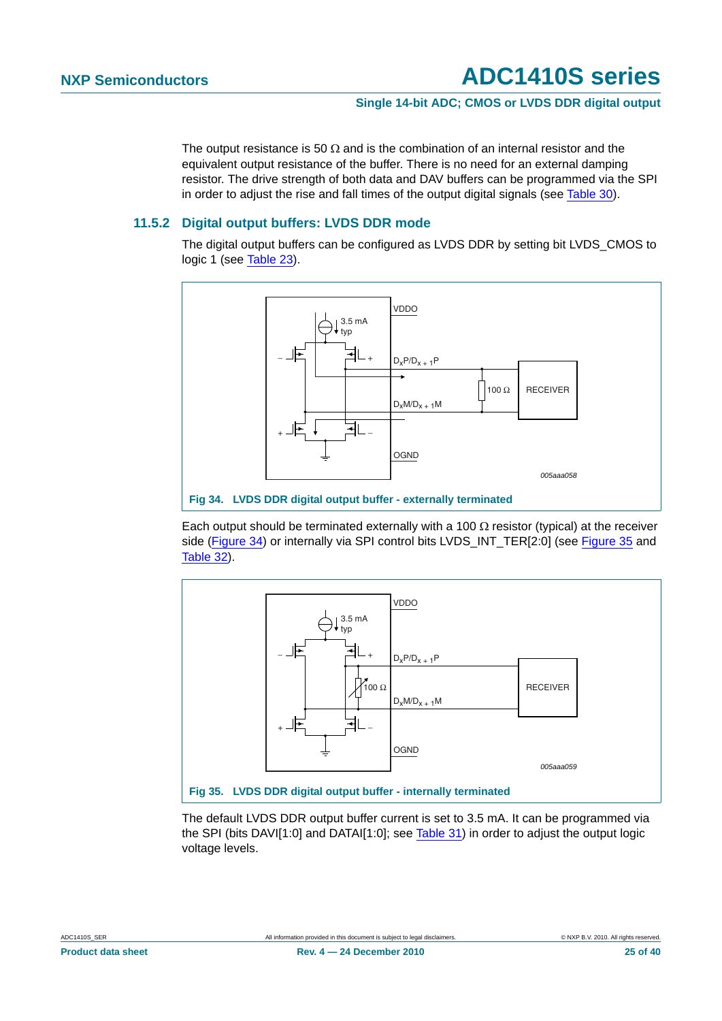### **Single 14-bit ADC; CMOS or LVDS DDR digital output**

The output resistance is 50  $\Omega$  and is the combination of an internal resistor and the equivalent output resistance of the buffer. There is no need for an external damping resistor. The drive strength of both data and DAV buffers can be programmed via the SPI in order to adjust the rise and fall times of the output digital signals (see [Table 30\)](#page-33-0).

### <span id="page-24-2"></span>**11.5.2 Digital output buffers: LVDS DDR mode**

The digital output buffers can be configured as LVDS DDR by setting bit LVDS\_CMOS to logic 1 (see [Table 23\)](#page-31-0).



<span id="page-24-0"></span>Each output should be terminated externally with a 100  $\Omega$  resistor (typical) at the receiver side ([Figure 34\)](#page-24-0) or internally via SPI control bits LVDS\_INT\_TER[2:0] (see [Figure 35](#page-24-1) and [Table 32\)](#page-34-0).



<span id="page-24-1"></span>The default LVDS DDR output buffer current is set to 3.5 mA. It can be programmed via the SPI (bits DAVI[1:0] and DATAI[1:0]; see [Table 31](#page-34-1)) in order to adjust the output logic voltage levels.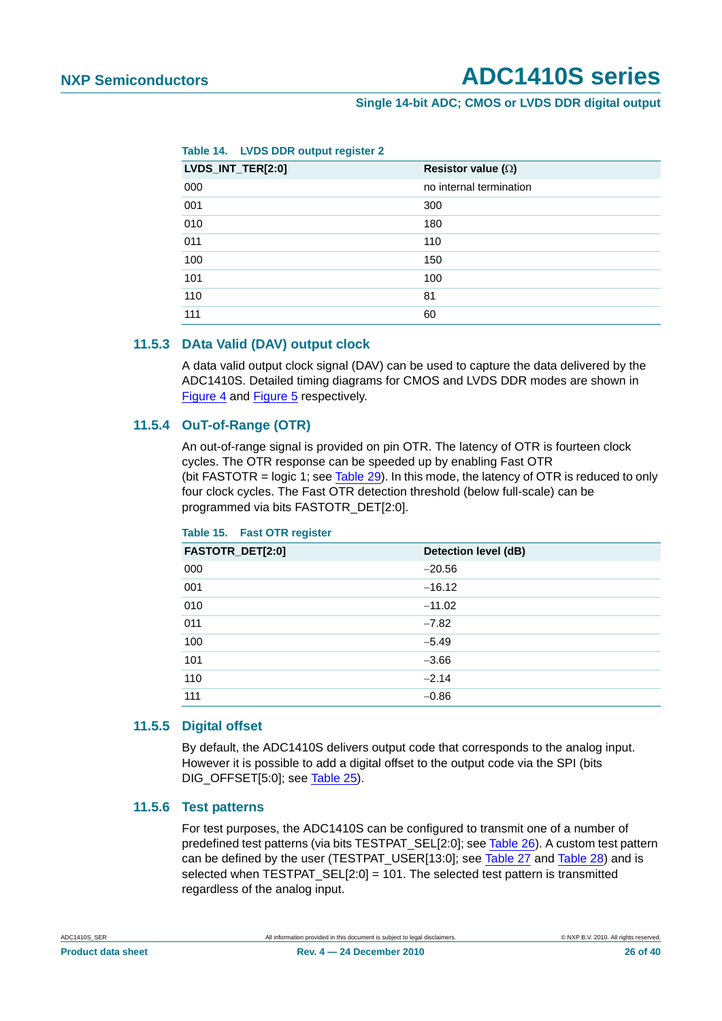### **Single 14-bit ADC; CMOS or LVDS DDR digital output**

**Table 14. LVDS DDR output register 2**

| LVDS_INT_TER[2:0] | Resistor value $(\Omega)$ |
|-------------------|---------------------------|
| 000               | no internal termination   |
| 001               | 300                       |
| 010               | 180                       |
| 011               | 110                       |
| 100               | 150                       |
| 101               | 100                       |
| 110               | 81                        |
| 111               | 60                        |

### <span id="page-25-0"></span>**11.5.3 DAta Valid (DAV) output clock**

A data valid output clock signal (DAV) can be used to capture the data delivered by the ADC1410S. Detailed timing diagrams for CMOS and LVDS DDR modes are shown in [Figure 4](#page-10-0) and [Figure 5](#page-10-1) respectively.

### <span id="page-25-1"></span>**11.5.4 OuT-of-Range (OTR)**

An out-of-range signal is provided on pin OTR. The latency of OTR is fourteen clock cycles. The OTR response can be speeded up by enabling Fast OTR (bit FASTOTR = logic 1; see [Table 29](#page-33-1)). In this mode, the latency of OTR is reduced to only four clock cycles. The Fast OTR detection threshold (below full-scale) can be programmed via bits FASTOTR\_DET[2:0].

| FASTOTR_DET[2:0] | Detection level (dB) |
|------------------|----------------------|
| 000              | $-20.56$             |
| 001              | $-16.12$             |
| 010              | $-11.02$             |
| 011              | $-7.82$              |
| 100              | $-5.49$              |
| 101              | $-3.66$              |
| 110              | $-2.14$              |
| 111              | $-0.86$              |

### **Table 15. Fast OTR register**

### <span id="page-25-2"></span>**11.5.5 Digital offset**

By default, the ADC1410S delivers output code that corresponds to the analog input. However it is possible to add a digital offset to the output code via the SPI (bits DIG\_OFFSET[5:0]; see [Table 25\)](#page-32-0).

### <span id="page-25-3"></span>**11.5.6 Test patterns**

For test purposes, the ADC1410S can be configured to transmit one of a number of predefined test patterns (via bits TESTPAT\_SEL[2:0]; see [Table 26](#page-32-1)). A custom test pattern can be defined by the user (TESTPAT\_USER[13:0]; see [Table 27](#page-33-2) and [Table 28](#page-33-3)) and is selected when TESTPAT  $SEL[2:0] = 101$ . The selected test pattern is transmitted regardless of the analog input.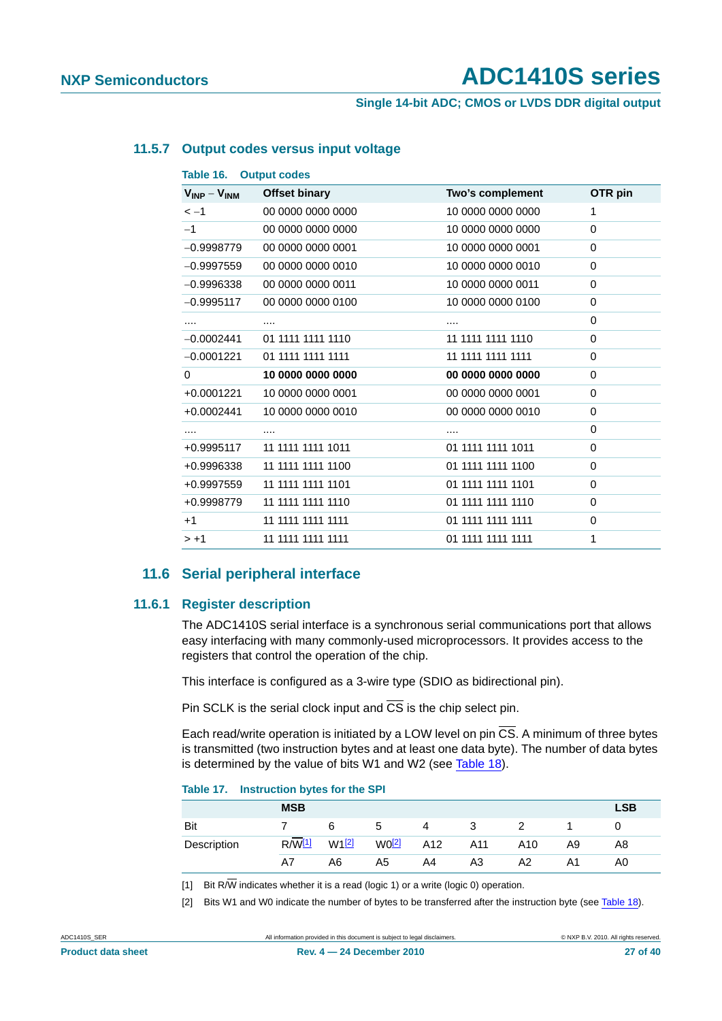**Single 14-bit ADC; CMOS or LVDS DDR digital output**

### <span id="page-26-2"></span>**11.5.7 Output codes versus input voltage**

| $V_{INP} - V_{INM}$ | <b>Offset binary</b> | Two's complement  | OTR pin  |
|---------------------|----------------------|-------------------|----------|
| $\lt -1$            | 00 0000 0000 0000    | 10 0000 0000 0000 | 1        |
| $-1$                | 00 0000 0000 0000    | 10 0000 0000 0000 | 0        |
| $-0.9998779$        | 00 0000 0000 0001    | 10 0000 0000 0001 | $\Omega$ |
| $-0.9997559$        | 00 0000 0000 0010    | 10 0000 0000 0010 | 0        |
| $-0.9996338$        | 00 0000 0000 0011    | 10 0000 0000 0011 | $\Omega$ |
| $-0.9995117$        | 00 0000 0000 0100    | 10 0000 0000 0100 | 0        |
|                     |                      |                   | $\Omega$ |
| $-0.0002441$        | 01 1111 1111 1110    | 11 1111 1111 1110 | $\Omega$ |
| $-0.0001221$        | 01 1111 1111 1111    | 11 1111 1111 1111 | $\Omega$ |
| $\Omega$            | 10 0000 0000 0000    | 00 0000 0000 0000 | $\Omega$ |
| +0.0001221          | 10 0000 0000 0001    | 00 0000 0000 0001 | 0        |
| $+0.0002441$        | 10 0000 0000 0010    | 00 0000 0000 0010 | $\Omega$ |
| .                   | .                    | $\cdots$          | $\Omega$ |
| +0.9995117          | 11 1111 1111 1011    | 01 1111 1111 1011 | $\Omega$ |
| +0.9996338          | 11 1111 1111 1100    | 01 1111 1111 1100 | $\Omega$ |
| +0.9997559          | 11 1111 1111 1101    | 01 1111 1111 1101 | $\Omega$ |
| +0.9998779          | 11 1111 1111 1110    | 01 1111 1111 1110 | $\Omega$ |
| $+1$                | 11 1111 1111 1111    | 01 1111 1111 1111 | $\Omega$ |
| $> +1$              | 11 1111 1111 1111    | 01 1111 1111 1111 | 1        |

### **11.6 Serial peripheral interface**

### <span id="page-26-4"></span><span id="page-26-3"></span>**11.6.1 Register description**

The ADC1410S serial interface is a synchronous serial communications port that allows easy interfacing with many commonly-used microprocessors. It provides access to the registers that control the operation of the chip.

This interface is configured as a 3-wire type (SDIO as bidirectional pin).

Pin SCLK is the serial clock input and  $\overline{CS}$  is the chip select pin.

Each read/write operation is initiated by a LOW level on pin  $\overline{CS}$ . A minimum of three bytes is transmitted (two instruction bytes and at least one data byte). The number of data bytes is determined by the value of bits W1 and W2 (see [Table 18\)](#page-27-0).

### **Table 17. Instruction bytes for the SPI**

|             | <b>MSB</b>    |                   |             |     |     |     |    | <b>LSB</b> |
|-------------|---------------|-------------------|-------------|-----|-----|-----|----|------------|
| Bit         |               | 6                 | $\mathbf b$ | 4   | 3   |     |    |            |
| Description | $R/\sqrt{11}$ | W1 <sup>[2]</sup> | $W0$ [2]    | A12 | A11 | A10 | A9 | A8         |
|             | A7            | A6                | A5          | A4  | A3  | A2  | Α1 | A0         |

<span id="page-26-0"></span>[1] Bit R $\overline{W}$  indicates whether it is a read (logic 1) or a write (logic 0) operation.

<span id="page-26-1"></span>[2] Bits W1 and W0 indicate the number of bytes to be transferred after the instruction byte (see [Table 18](#page-27-0)).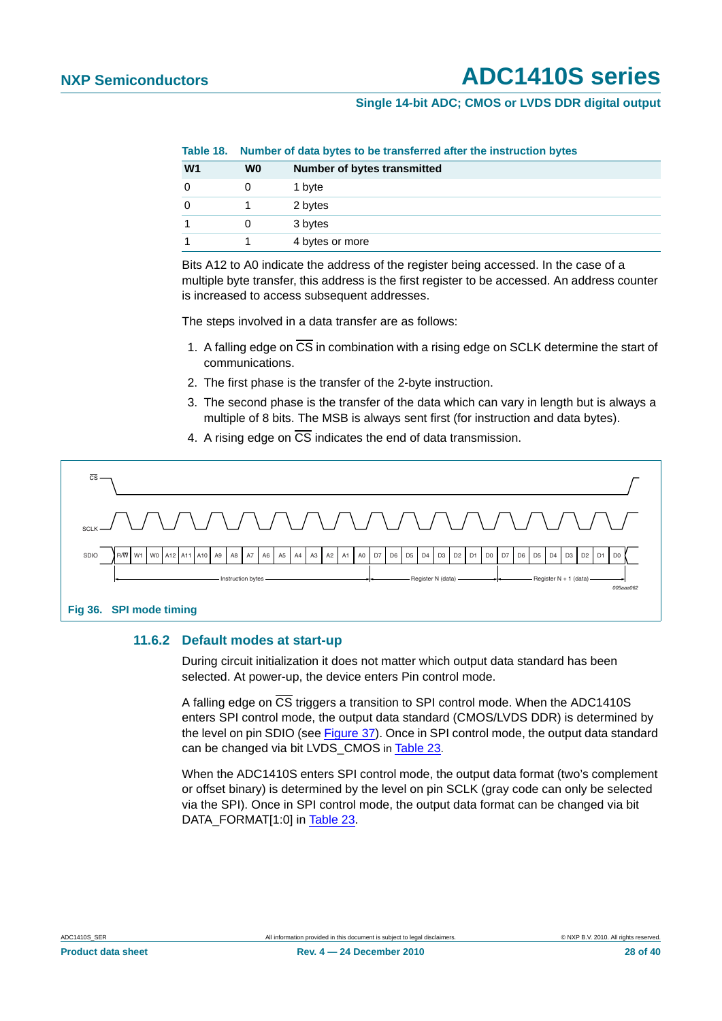### **Single 14-bit ADC; CMOS or LVDS DDR digital output**

<span id="page-27-0"></span>**Table 18. Number of data bytes to be transferred after the instruction bytes**

| W <sub>1</sub> | W0 | <b>Number of bytes transmitted</b> |
|----------------|----|------------------------------------|
|                |    | 1 byte                             |
|                |    | 2 bytes                            |
|                |    | 3 bytes                            |
|                |    | 4 bytes or more                    |

Bits A12 to A0 indicate the address of the register being accessed. In the case of a multiple byte transfer, this address is the first register to be accessed. An address counter is increased to access subsequent addresses.

The steps involved in a data transfer are as follows:

- 1. A falling edge on CS in combination with a rising edge on SCLK determine the start of communications.
- 2. The first phase is the transfer of the 2-byte instruction.
- 3. The second phase is the transfer of the data which can vary in length but is always a multiple of 8 bits. The MSB is always sent first (for instruction and data bytes).
- 4. A rising edge on  $\overline{\text{CS}}$  indicates the end of data transmission.



### <span id="page-27-1"></span>**11.6.2 Default modes at start-up**

During circuit initialization it does not matter which output data standard has been selected. At power-up, the device enters Pin control mode.

A falling edge on CS triggers a transition to SPI control mode. When the ADC1410S enters SPI control mode, the output data standard (CMOS/LVDS DDR) is determined by the level on pin SDIO (see [Figure 37\)](#page-28-0). Once in SPI control mode, the output data standard can be changed via bit LVDS\_CMOS in [Table 23.](#page-31-0)

When the ADC1410S enters SPI control mode, the output data format (two's complement or offset binary) is determined by the level on pin SCLK (gray code can only be selected via the SPI). Once in SPI control mode, the output data format can be changed via bit DATA\_FORMAT[1:0] in [Table 23.](#page-31-0)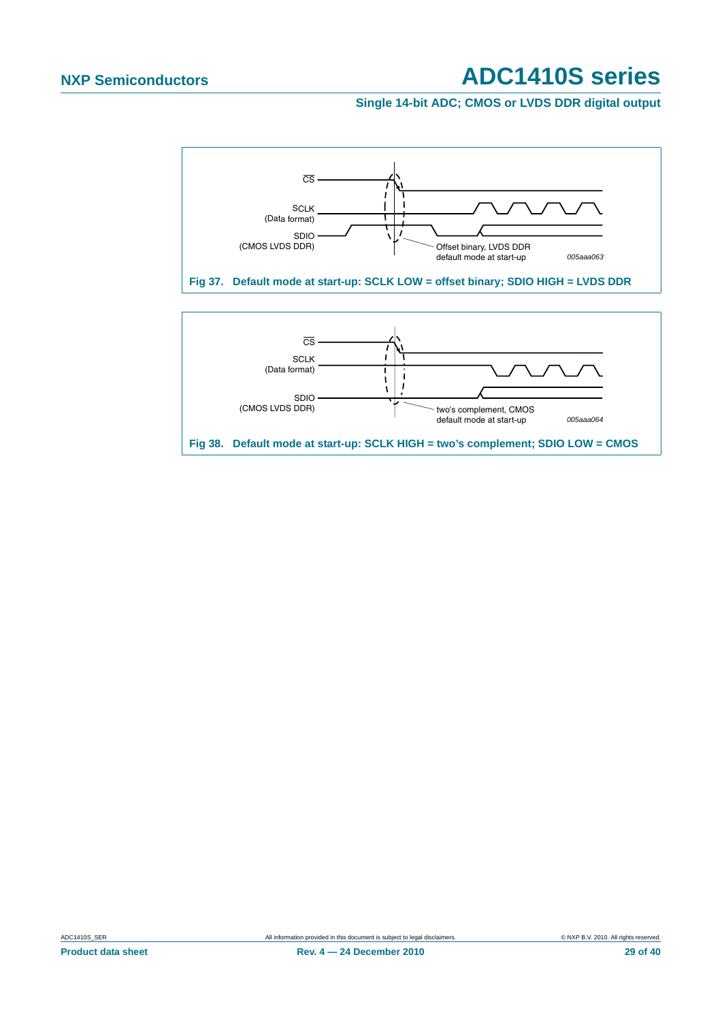**Single 14-bit ADC; CMOS or LVDS DDR digital output**

<span id="page-28-0"></span>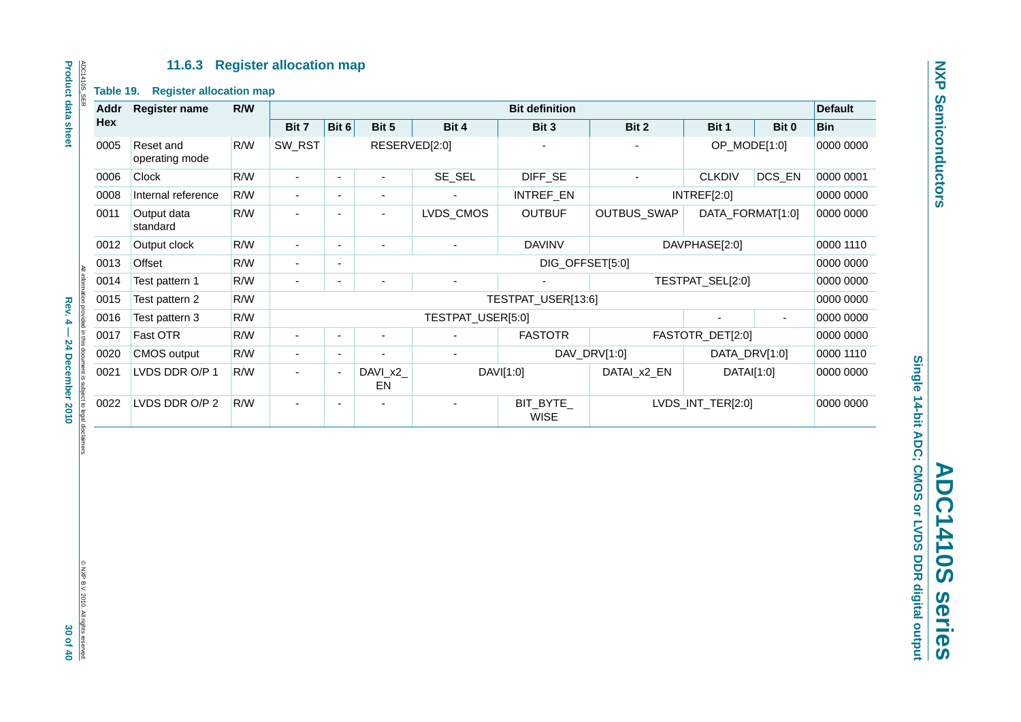### **11.6.3 Register allocation map**

<span id="page-29-0"></span>

| Addr | <b>Register name</b>        | R/W |                          |                          |                          |                   | <b>Bit definition</b>    |              |                   |           | <b>Default</b> |
|------|-----------------------------|-----|--------------------------|--------------------------|--------------------------|-------------------|--------------------------|--------------|-------------------|-----------|----------------|
| Hex  |                             |     | Bit 7                    | Bit 6                    | Bit 5                    | Bit 4             | Bit 3                    | Bit 2        | Bit 1             | Bit 0     | <b>Bin</b>     |
| 0005 | Reset and<br>operating mode | R/W | SW_RST                   |                          | RESERVED[2:0]            |                   |                          |              | OP_MODE[1:0]      |           | 0000 0000      |
| 0006 | Clock                       | R/W | $\blacksquare$           | ÷,                       | ÷,                       | SE_SEL            | DIFF_SE                  | ä,           | <b>CLKDIV</b>     | DCS_EN    | 0000 0001      |
| 0008 | Internal reference          | R/W | $\blacksquare$           | $\blacksquare$           | $\blacksquare$           |                   | INTREF_EN                |              | INTREF[2:0]       |           | 0000 0000      |
| 0011 | Output data<br>standard     | R/W | ä,                       | $\sim$                   | $\overline{\phantom{a}}$ | LVDS_CMOS         | <b>OUTBUF</b>            | OUTBUS_SWAP  | DATA_FORMAT[1:0]  |           | 0000 0000      |
| 0012 | Output clock                | R/W |                          | ÷,                       |                          |                   | <b>DAVINV</b>            |              | DAVPHASE[2:0]     |           | 0000 1110      |
| 0013 | Offset                      | R/W | $\blacksquare$           | $\overline{\phantom{a}}$ |                          |                   | DIG_OFFSET[5:0]          |              |                   |           | 0000 0000      |
| 0014 | Test pattern 1              | R/W | ÷,                       | $\overline{a}$           | TESTPAT_SEL[2:0]<br>÷,   |                   |                          |              |                   | 0000 0000 |                |
| 0015 | Test pattern 2              | R/W |                          |                          |                          |                   | TESTPAT_USER[13:6]       |              |                   |           | 0000 0000      |
| 0016 | Test pattern 3              | R/W |                          |                          |                          | TESTPAT_USER[5:0] |                          |              |                   |           | 0000 0000      |
| 0017 | Fast OTR                    | R/W | $\overline{\phantom{a}}$ | ÷,                       | $\blacksquare$           | ÷                 | <b>FASTOTR</b>           |              | FASTOTR_DET[2:0]  |           | 0000 0000      |
| 0020 | CMOS output                 | R/W | $\blacksquare$           | ÷,                       | ä,                       | ÷,                |                          | DAV_DRV[1:0] | DATA_DRV[1:0]     |           | 0000 1110      |
| 0021 | LVDS DDR O/P 1              | R/W | $\overline{\phantom{a}}$ | $\overline{\phantom{a}}$ | DAVI_x2_<br>EN           |                   | DAVI[1:0]                | DATAI_x2_EN  | DATAI[1:0]        |           | 0000 0000      |
| 0022 | LVDS DDR O/P 2              | R/W | L,                       | $\overline{\phantom{a}}$ |                          |                   | BIT_BYTE_<br><b>WISE</b> |              | LVDS_INT_TER[2:0] |           | 0000 0000      |
|      |                             |     |                          |                          |                          |                   |                          |              |                   |           |                |

ADC1410S\_SER<br>Product data sheet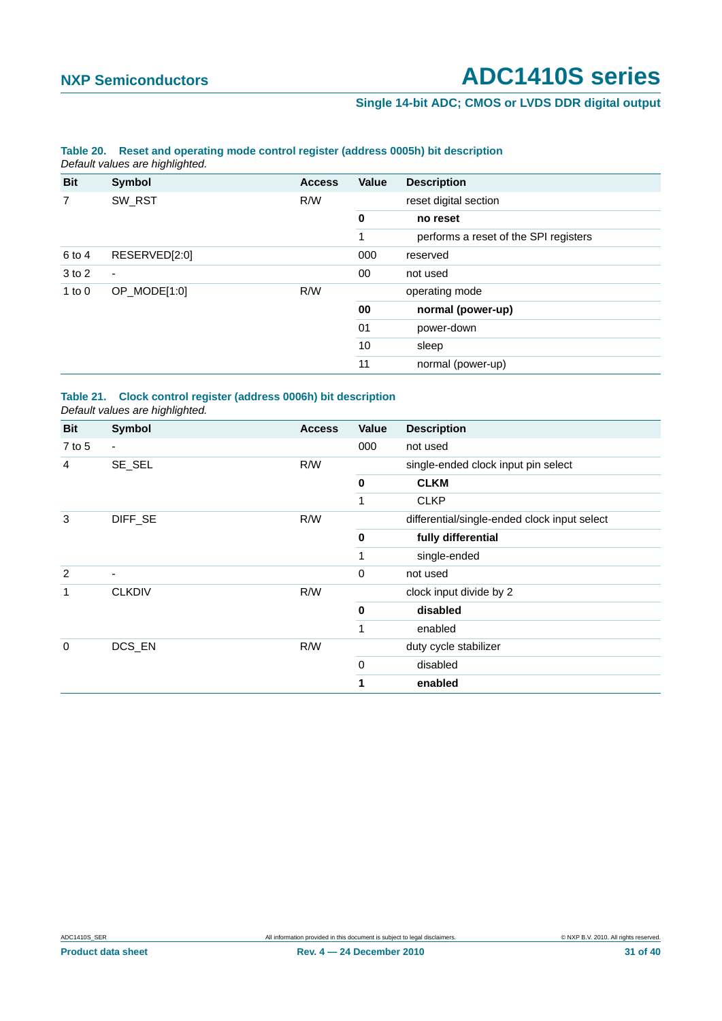### **Single 14-bit ADC; CMOS or LVDS DDR digital output**

### <span id="page-30-0"></span>**Table 20. Reset and operating mode control register (address 0005h) bit description** *Default values are highlighted.*

| <b>Bit</b> | Symbol                   | <b>Access</b> | <b>Value</b> | <b>Description</b>                    |
|------------|--------------------------|---------------|--------------|---------------------------------------|
| 7          | SW_RST                   | R/W           |              | reset digital section                 |
|            |                          |               | $\mathbf 0$  | no reset                              |
|            |                          |               |              | performs a reset of the SPI registers |
| 6 to 4     | RESERVED[2:0]            |               | 000          | reserved                              |
| 3 to 2     | $\overline{\phantom{a}}$ |               | 00           | not used                              |
| 1 to $0$   | OP_MODE[1:0]             | R/W           |              | operating mode                        |
|            |                          |               | 00           | normal (power-up)                     |
|            |                          |               | 01           | power-down                            |
|            |                          |               | 10           | sleep                                 |
|            |                          |               | 11           | normal (power-up)                     |

### <span id="page-30-1"></span>**Table 21. Clock control register (address 0006h) bit description** *Default values are highlighted.*

| <b>Bit</b>  | <b>Symbol</b> | <b>Access</b> | Value       | <b>Description</b>                           |
|-------------|---------------|---------------|-------------|----------------------------------------------|
| $7$ to 5    | ٠             |               | 000         | not used                                     |
| 4           | SE_SEL        | R/W           |             | single-ended clock input pin select          |
|             |               |               | 0           | <b>CLKM</b>                                  |
|             |               |               | 1           | <b>CLKP</b>                                  |
| 3           | DIFF_SE       | R/W           |             | differential/single-ended clock input select |
|             |               |               | 0           | fully differential                           |
|             |               |               | 1           | single-ended                                 |
| 2           |               |               | 0           | not used                                     |
| 1           | <b>CLKDIV</b> | R/W           |             | clock input divide by 2                      |
|             |               |               | $\mathbf 0$ | disabled                                     |
|             |               |               | 1           | enabled                                      |
| $\mathbf 0$ | DCS_EN        | R/W           |             | duty cycle stabilizer                        |
|             |               |               | $\mathbf 0$ | disabled                                     |
|             |               |               | 1           | enabled                                      |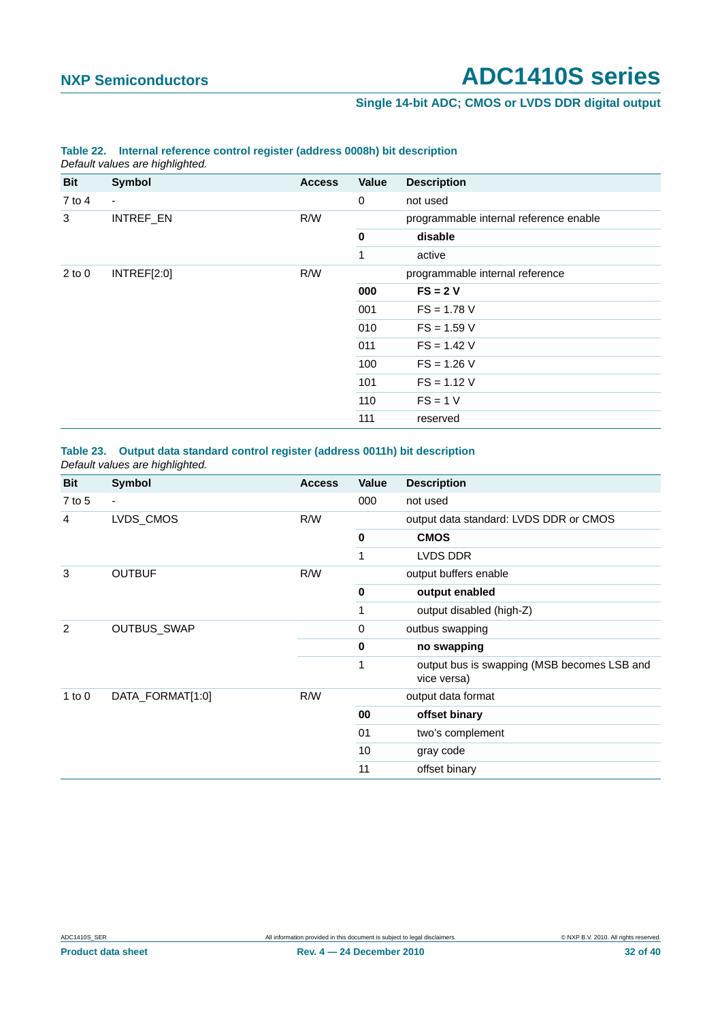### **Single 14-bit ADC; CMOS or LVDS DDR digital output**

|            | $50$ and rended are ringing incent |               |             |                                        |  |
|------------|------------------------------------|---------------|-------------|----------------------------------------|--|
| Bit        | Symbol                             | <b>Access</b> | Value       | <b>Description</b>                     |  |
| $7$ to 4   | $\overline{\phantom{a}}$           |               | $\mathbf 0$ | not used                               |  |
| 3          | INTREF_EN                          | R/W           |             | programmable internal reference enable |  |
|            |                                    |               | $\mathbf 0$ | disable                                |  |
|            |                                    |               | 1           | active                                 |  |
| $2$ to $0$ | INTREF[2:0]                        | R/W           |             | programmable internal reference        |  |
|            |                                    |               | 000         | $FS = 2V$                              |  |
|            |                                    |               | 001         | $FS = 1.78 V$                          |  |
|            |                                    |               | 010         | $FS = 1.59 V$                          |  |
|            |                                    |               | 011         | $FS = 1.42 V$                          |  |
|            |                                    |               | 100         | $FS = 1.26 V$                          |  |
|            |                                    |               | 101         | $FS = 1.12 V$                          |  |
|            |                                    |               | 110         | $FS = 1 V$                             |  |
|            |                                    |               | 111         | reserved                               |  |
|            |                                    |               |             |                                        |  |

### <span id="page-31-1"></span>**Table 22. Internal reference control register (address 0008h) bit description** *Default values are highlighted.*

### <span id="page-31-0"></span>**Table 23. Output data standard control register (address 0011h) bit description** *Default values are highlighted.*

| <b>Bit</b> | Symbol           | <b>Access</b> | Value       | <b>Description</b>                                         |
|------------|------------------|---------------|-------------|------------------------------------------------------------|
| $7$ to 5   | $\blacksquare$   |               | 000         | not used                                                   |
| 4          | LVDS_CMOS        | R/W           |             | output data standard: LVDS DDR or CMOS                     |
|            |                  |               | $\mathbf 0$ | <b>CMOS</b>                                                |
|            |                  |               | 1           | LVDS DDR                                                   |
| 3          | <b>OUTBUF</b>    | R/W           |             | output buffers enable                                      |
|            |                  |               | $\mathbf 0$ | output enabled                                             |
|            |                  |               |             | output disabled (high-Z)                                   |
| 2          | OUTBUS_SWAP      |               | 0           | outbus swapping                                            |
|            |                  |               | 0           | no swapping                                                |
|            |                  |               | 1           | output bus is swapping (MSB becomes LSB and<br>vice versa) |
| 1 to $0$   | DATA_FORMAT[1:0] | R/W           |             | output data format                                         |
|            |                  |               | 00          | offset binary                                              |
|            |                  |               | 01          | two's complement                                           |
|            |                  |               | 10          | gray code                                                  |
|            |                  |               | 11          | offset binary                                              |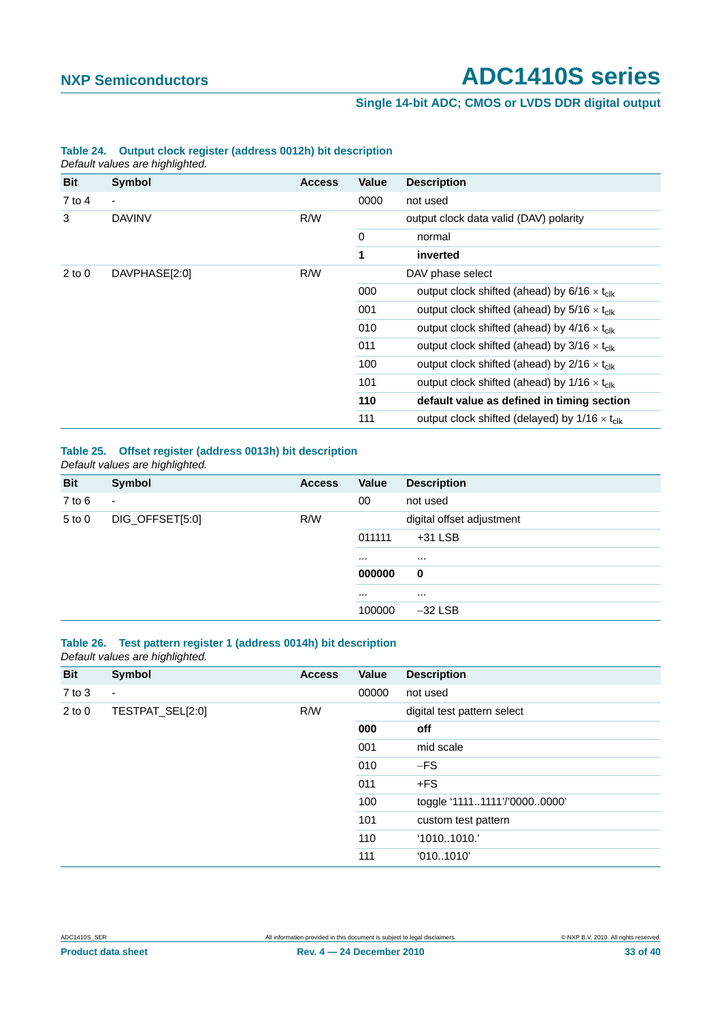### **Single 14-bit ADC; CMOS or LVDS DDR digital output**

| boldan valdoo di o mgriligi liba. |                          |               |              |                                                                |  |
|-----------------------------------|--------------------------|---------------|--------------|----------------------------------------------------------------|--|
| <b>Bit</b>                        | <b>Symbol</b>            | <b>Access</b> | <b>Value</b> | <b>Description</b>                                             |  |
| 7 to 4                            | $\overline{\phantom{a}}$ |               | 0000         | not used                                                       |  |
| 3                                 | <b>DAVINV</b>            | R/W           |              | output clock data valid (DAV) polarity                         |  |
|                                   |                          |               | $\mathbf 0$  | normal                                                         |  |
|                                   |                          |               | 1            | inverted                                                       |  |
| $2$ to $0$                        | DAVPHASE[2:0]            | R/W           |              | DAV phase select                                               |  |
|                                   |                          |               | 000          | output clock shifted (ahead) by $6/16 \times t_{\text{clk}}$   |  |
|                                   |                          |               | 001          | output clock shifted (ahead) by $5/16 \times t_{\text{clk}}$   |  |
|                                   |                          |               | 010          | output clock shifted (ahead) by $4/16 \times t_{\text{clk}}$   |  |
|                                   |                          |               | 011          | output clock shifted (ahead) by $3/16 \times t_{\text{clk}}$   |  |
|                                   |                          |               | 100          | output clock shifted (ahead) by $2/16 \times t_{\text{clk}}$   |  |
|                                   |                          |               | 101          | output clock shifted (ahead) by $1/16 \times t_{\text{clk}}$   |  |
|                                   |                          |               | 110          | default value as defined in timing section                     |  |
|                                   |                          |               | 111          | output clock shifted (delayed) by $1/16 \times t_{\text{clk}}$ |  |

### **Table 24. Output clock register (address 0012h) bit description** *Default values are highlighted.*

<span id="page-32-0"></span>**Table 25. Offset register (address 0013h) bit description** *Default values are highlighted.*

| <b>Bit</b> | Symbol                   | <b>Access</b> | Value    | <b>Description</b>        |
|------------|--------------------------|---------------|----------|---------------------------|
| $7$ to $6$ | $\overline{\phantom{a}}$ |               | $00\,$   | not used                  |
| $5$ to $0$ | DIG_OFFSET[5:0]          | R/W           |          | digital offset adjustment |
|            |                          |               | 011111   | $+31$ LSB                 |
|            |                          |               | $\cdots$ | $\cdots$                  |
|            |                          |               | 000000   | $\mathbf 0$               |
|            |                          |               | $\cdots$ | $\cdots$                  |
|            |                          |               | 100000   | $-32$ LSB                 |

### <span id="page-32-1"></span>**Table 26. Test pattern register 1 (address 0014h) bit description** *Default values are highlighted.*

| <b>Bit</b> | Symbol                   | <b>Access</b> | Value | <b>Description</b>           |
|------------|--------------------------|---------------|-------|------------------------------|
| $7$ to $3$ | $\overline{\phantom{a}}$ |               | 00000 | not used                     |
| $2$ to $0$ | TESTPAT_SEL[2:0]         | R/W           |       | digital test pattern select  |
|            |                          |               | 000   | off                          |
|            |                          |               | 001   | mid scale                    |
|            |                          |               | 010   | $-FS$                        |
|            |                          |               | 011   | $+FS$                        |
|            |                          |               | 100   | toggle '11111111'/'00000000' |
|            |                          |               | 101   | custom test pattern          |
|            |                          |               | 110   | '10101010.'                  |
|            |                          |               | 111   | '0101010'                    |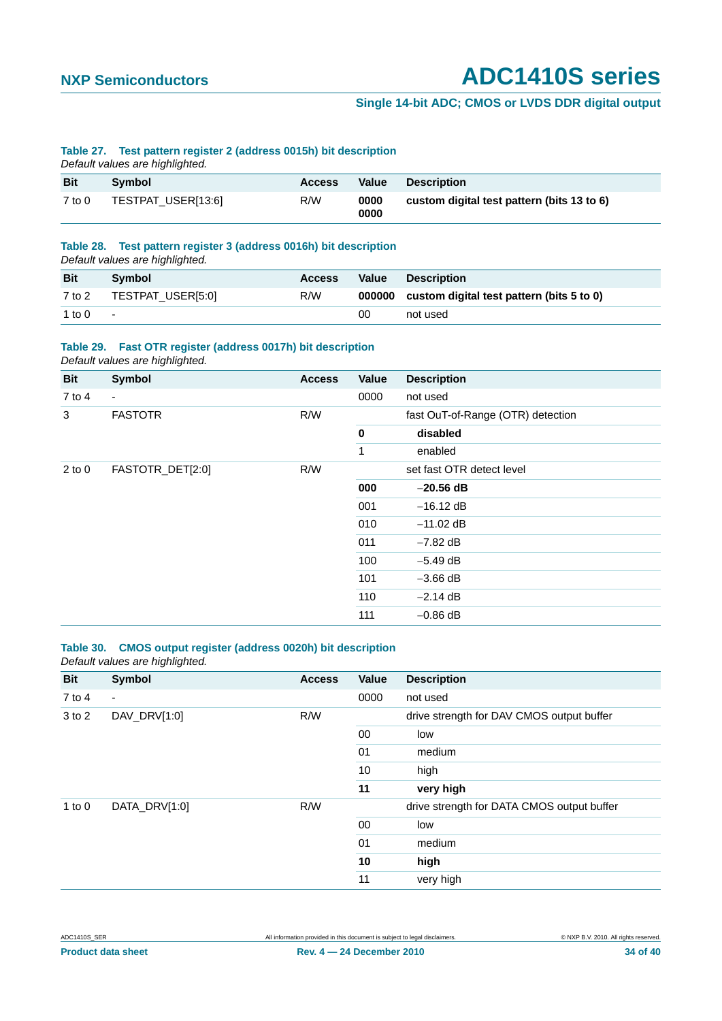### **Single 14-bit ADC; CMOS or LVDS DDR digital output**

### <span id="page-33-2"></span>**Table 27. Test pattern register 2 (address 0015h) bit description**

*Default values are highlighted.*

| <b>Bit</b> | <b>Symbol</b>      | <b>Access</b> | Value        | <b>Description</b>                         |
|------------|--------------------|---------------|--------------|--------------------------------------------|
| $7$ to $0$ | TESTPAT_USER[13:6] | R/W           | 0000<br>0000 | custom digital test pattern (bits 13 to 6) |

### <span id="page-33-3"></span>**Table 28. Test pattern register 3 (address 0016h) bit description**

*Default values are highlighted.*

|            | ີ                 |               |              |                                                  |
|------------|-------------------|---------------|--------------|--------------------------------------------------|
| <b>Bit</b> | Symbol            | <b>Access</b> | <b>Value</b> | <b>Description</b>                               |
| 7 to 2     | TESTPAT_USER[5:0] | R/W           |              | 000000 custom digital test pattern (bits 5 to 0) |
| 1 to 0     | $\sim$            |               | 00           | not used                                         |

### <span id="page-33-1"></span>**Table 29. Fast OTR register (address 0017h) bit description**

*Default values are highlighted.*

| <b>Bit</b> | <b>Symbol</b>            | <b>Access</b> | Value     | <b>Description</b>                |
|------------|--------------------------|---------------|-----------|-----------------------------------|
| $7$ to 4   | $\overline{\phantom{a}}$ |               | 0000      | not used                          |
| 3          | <b>FASTOTR</b>           | R/W           |           | fast OuT-of-Range (OTR) detection |
|            |                          |               | $\pmb{0}$ | disabled                          |
|            |                          |               | 1         | enabled                           |
| $2$ to $0$ | FASTOTR_DET[2:0]         | R/W           |           | set fast OTR detect level         |
|            |                          |               | 000       | $-20.56$ dB                       |
|            |                          |               | 001       | $-16.12$ dB                       |
|            |                          |               | 010       | $-11.02$ dB                       |
|            |                          |               | 011       | $-7.82$ dB                        |
|            |                          |               | 100       | $-5.49$ dB                        |
|            |                          |               | 101       | $-3.66$ dB                        |
|            |                          |               | 110       | $-2.14$ dB                        |
|            |                          |               | 111       | $-0.86$ dB                        |

### <span id="page-33-0"></span>**Table 30. CMOS output register (address 0020h) bit description** *Default values are highlighted.*

| <b>Bit</b> | <b>Symbol</b>            | <b>Access</b> | Value  | <b>Description</b>                         |
|------------|--------------------------|---------------|--------|--------------------------------------------|
| $7$ to 4   | $\overline{\phantom{a}}$ |               | 0000   | not used                                   |
| 3 to 2     | DAV_DRV[1:0]             | R/W           |        | drive strength for DAV CMOS output buffer  |
|            |                          |               | $00\,$ | low                                        |
|            |                          |               | 01     | medium                                     |
|            |                          |               | 10     | high                                       |
|            |                          |               | 11     | very high                                  |
| 1 to $0$   | DATA_DRV[1:0]            | R/W           |        | drive strength for DATA CMOS output buffer |
|            |                          |               | $00\,$ | low                                        |
|            |                          |               | 01     | medium                                     |
|            |                          |               | 10     | high                                       |
|            |                          |               | 11     | very high                                  |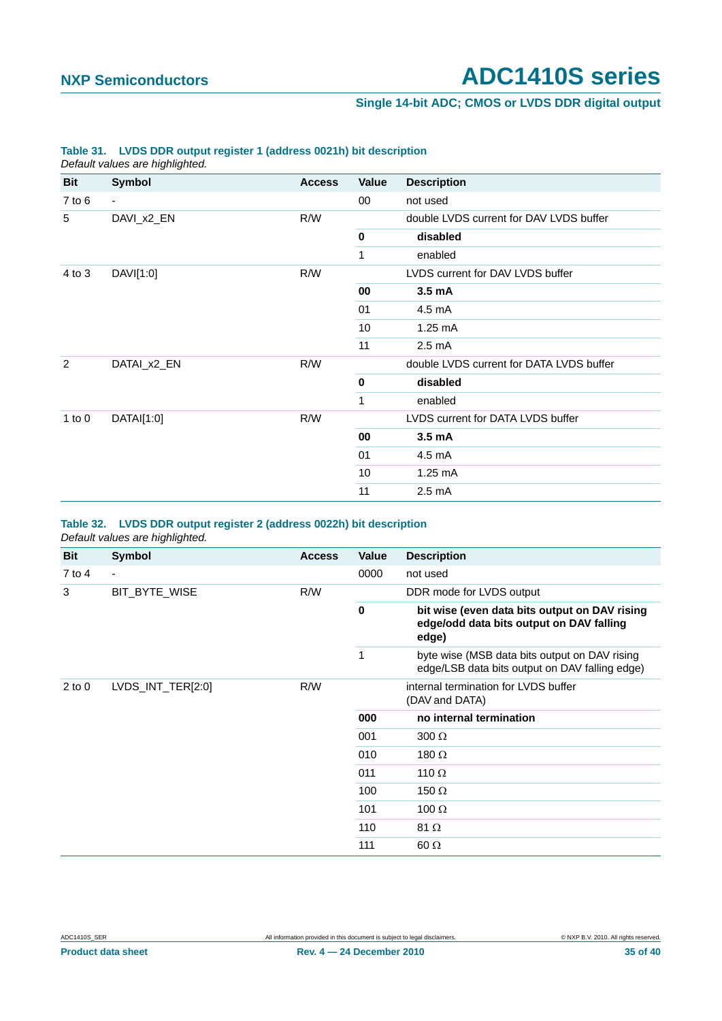### **Single 14-bit ADC; CMOS or LVDS DDR digital output**

|                | Default values are highlighted. |               |             |                                          |  |
|----------------|---------------------------------|---------------|-------------|------------------------------------------|--|
| <b>Bit</b>     | Symbol                          | <b>Access</b> | Value       | <b>Description</b>                       |  |
| $7$ to $6$     | $\overline{\phantom{a}}$        |               | 00          | not used                                 |  |
| 5              | DAVI_x2_EN                      | R/W           |             | double LVDS current for DAV LVDS buffer  |  |
|                |                                 |               | $\bf{0}$    | disabled                                 |  |
|                |                                 |               | 1           | enabled                                  |  |
| 4 to 3         | DAVI[1:0]                       | R/W           |             | LVDS current for DAV LVDS buffer         |  |
|                |                                 |               | 00          | 3.5 <sub>m</sub> A                       |  |
|                |                                 |               | 01          | 4.5 mA                                   |  |
|                |                                 |               | 10          | 1.25 mA                                  |  |
|                |                                 |               | 11          | $2.5 \text{ mA}$                         |  |
| $\overline{2}$ | DATAI_x2_EN                     | R/W           |             | double LVDS current for DATA LVDS buffer |  |
|                |                                 |               | $\mathbf 0$ | disabled                                 |  |
|                |                                 |               | 1           | enabled                                  |  |
| $1$ to $0$     | DATAI[1:0]                      | R/W           |             | LVDS current for DATA LVDS buffer        |  |
|                |                                 |               | 00          | 3.5 <sub>m</sub> A                       |  |
|                |                                 |               | 01          | 4.5 mA                                   |  |
|                |                                 |               | 10          | $1.25 \text{ mA}$                        |  |
|                |                                 |               | 11          | $2.5 \text{ mA}$                         |  |

### <span id="page-34-1"></span>**Table 31. LVDS DDR output register 1 (address 0021h) bit description**

### <span id="page-34-0"></span>**Table 32. LVDS DDR output register 2 (address 0022h) bit description** *Default values are highlighted.*

| Bit        | <b>Symbol</b>     | <b>Access</b> | Value    | <b>Description</b>                                                                                 |
|------------|-------------------|---------------|----------|----------------------------------------------------------------------------------------------------|
| 7 to 4     | ٠                 |               | 0000     | not used                                                                                           |
| 3          | BIT_BYTE_WISE     | R/W           |          | DDR mode for LVDS output                                                                           |
|            |                   |               | $\bf{0}$ | bit wise (even data bits output on DAV rising<br>edge/odd data bits output on DAV falling<br>edge) |
|            |                   |               | 1        | byte wise (MSB data bits output on DAV rising<br>edge/LSB data bits output on DAV falling edge)    |
| $2$ to $0$ | LVDS_INT_TER[2:0] | R/W           |          | internal termination for LVDS buffer<br>(DAV and DATA)                                             |
|            |                   |               | 000      | no internal termination                                                                            |
|            |                   |               | 001      | $300 \Omega$                                                                                       |
|            |                   |               | 010      | 180 $\Omega$                                                                                       |
|            |                   |               | 011      | 110 $\Omega$                                                                                       |
|            |                   |               | 100      | 150 $\Omega$                                                                                       |
|            |                   |               | 101      | 100 $\Omega$                                                                                       |
|            |                   |               | 110      | 81 $\Omega$                                                                                        |
|            |                   |               | 111      | $60 \Omega$                                                                                        |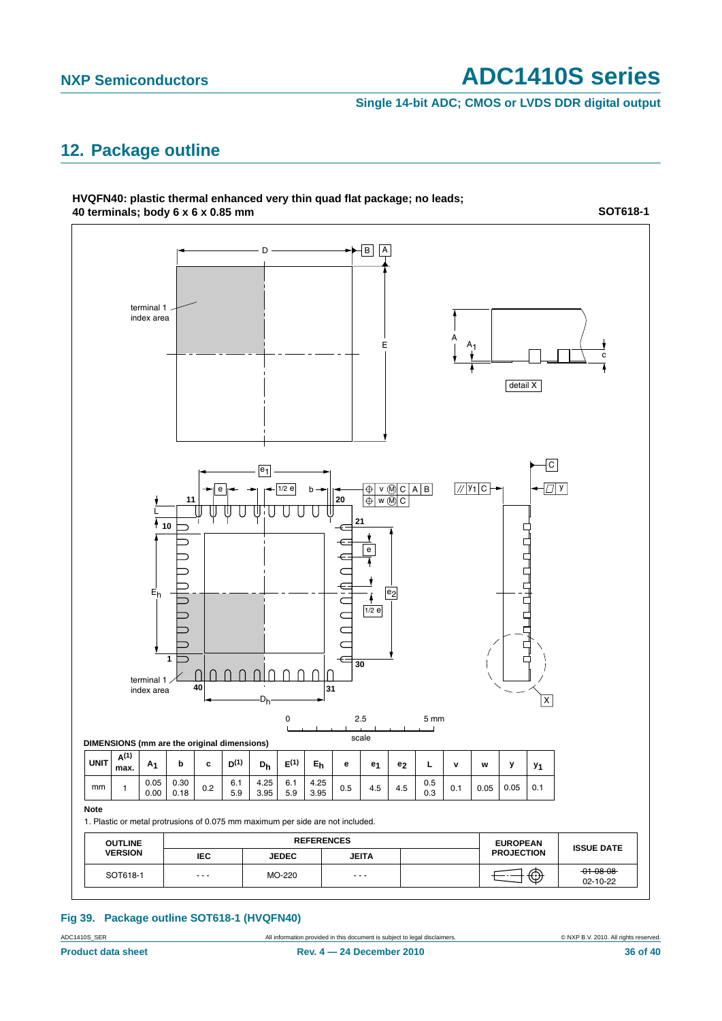**Single 14-bit ADC; CMOS or LVDS DDR digital output**

### <span id="page-35-1"></span>**12. Package outline**



### <span id="page-35-0"></span>**Fig 39. Package outline SOT618-1 (HVQFN40)**

ADC1410S\_SER **All information provided in this document** is subject to legal disclaimers. **COMPRETIC CONTABRIC CONTABRIC CONTABRIC CONTABRIC CONTABRIC CONTABRIC CONTABRIC CONTABRIC CONTABRIC CONTABRIC CONTABRIC CONTABRIC**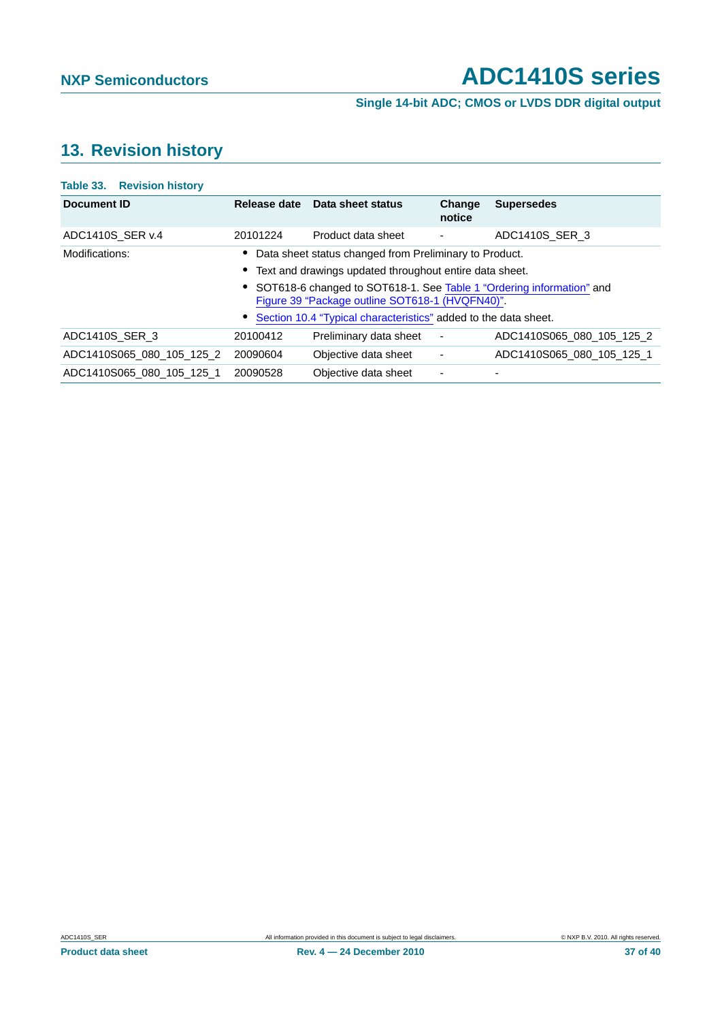**Single 14-bit ADC; CMOS or LVDS DDR digital output**

## <span id="page-36-0"></span>**13. Revision history**

| Release date                                                    | Data sheet status      | Change<br>notice         | <b>Supersedes</b>                                                                                                         |  |  |
|-----------------------------------------------------------------|------------------------|--------------------------|---------------------------------------------------------------------------------------------------------------------------|--|--|
| 20101224                                                        | Product data sheet     |                          | ADC1410S SER 3                                                                                                            |  |  |
| Data sheet status changed from Preliminary to Product.          |                        |                          |                                                                                                                           |  |  |
| Text and drawings updated throughout entire data sheet.         |                        |                          |                                                                                                                           |  |  |
|                                                                 |                        |                          |                                                                                                                           |  |  |
| Section 10.4 "Typical characteristics" added to the data sheet. |                        |                          |                                                                                                                           |  |  |
| 20100412                                                        | Preliminary data sheet | $\overline{\phantom{a}}$ | ADC1410S065_080_105_125_2                                                                                                 |  |  |
| 20090604                                                        | Objective data sheet   | $\overline{\phantom{a}}$ | ADC1410S065 080 105 125 1                                                                                                 |  |  |
| 20090528                                                        | Objective data sheet   | ٠                        | -                                                                                                                         |  |  |
|                                                                 |                        |                          | • SOT618-6 changed to SOT618-1. See Table 1 "Ordering information" and<br>Figure 39 "Package outline SOT618-1 (HVQFN40)". |  |  |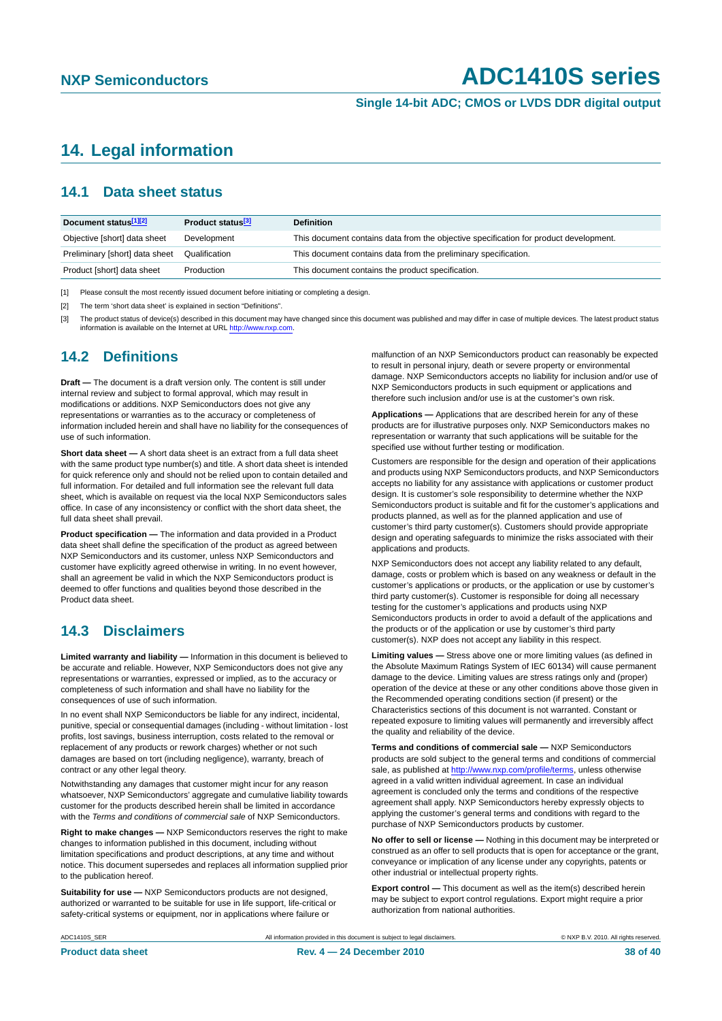**Single 14-bit ADC; CMOS or LVDS DDR digital output**

### <span id="page-37-0"></span>**14. Legal information**

### <span id="page-37-1"></span>**14.1 Data sheet status**

| Document status[1][2]          | Product status <sup>[3]</sup> | <b>Definition</b>                                                                     |
|--------------------------------|-------------------------------|---------------------------------------------------------------------------------------|
| Objective [short] data sheet   | Development                   | This document contains data from the objective specification for product development. |
| Preliminary [short] data sheet | Qualification                 | This document contains data from the preliminary specification.                       |
| Product [short] data sheet     | Production                    | This document contains the product specification.                                     |

[1] Please consult the most recently issued document before initiating or completing a design.

[2] The term 'short data sheet' is explained in section "Definitions".

[3] The product status of device(s) described in this document may have changed since this document was published and may differ in case of multiple devices. The latest product status<br>information is available on the Intern

### <span id="page-37-2"></span>**14.2 Definitions**

**Draft —** The document is a draft version only. The content is still under internal review and subject to formal approval, which may result in modifications or additions. NXP Semiconductors does not give any representations or warranties as to the accuracy or completeness of information included herein and shall have no liability for the consequences of use of such information.

**Short data sheet —** A short data sheet is an extract from a full data sheet with the same product type number(s) and title. A short data sheet is intended for quick reference only and should not be relied upon to contain detailed and full information. For detailed and full information see the relevant full data sheet, which is available on request via the local NXP Semiconductors sales office. In case of any inconsistency or conflict with the short data sheet, the full data sheet shall prevail.

**Product specification —** The information and data provided in a Product data sheet shall define the specification of the product as agreed between NXP Semiconductors and its customer, unless NXP Semiconductors and customer have explicitly agreed otherwise in writing. In no event however, shall an agreement be valid in which the NXP Semiconductors product is deemed to offer functions and qualities beyond those described in the Product data sheet.

### <span id="page-37-3"></span>**14.3 Disclaimers**

**Limited warranty and liability —** Information in this document is believed to be accurate and reliable. However, NXP Semiconductors does not give any representations or warranties, expressed or implied, as to the accuracy or completeness of such information and shall have no liability for the consequences of use of such information.

In no event shall NXP Semiconductors be liable for any indirect, incidental, punitive, special or consequential damages (including - without limitation - lost profits, lost savings, business interruption, costs related to the removal or replacement of any products or rework charges) whether or not such damages are based on tort (including negligence), warranty, breach of contract or any other legal theory.

Notwithstanding any damages that customer might incur for any reason whatsoever, NXP Semiconductors' aggregate and cumulative liability towards customer for the products described herein shall be limited in accordance with the *Terms and conditions of commercial sale* of NXP Semiconductors.

**Right to make changes —** NXP Semiconductors reserves the right to make changes to information published in this document, including without limitation specifications and product descriptions, at any time and without notice. This document supersedes and replaces all information supplied prior to the publication hereof.

**Suitability for use —** NXP Semiconductors products are not designed, authorized or warranted to be suitable for use in life support, life-critical or safety-critical systems or equipment, nor in applications where failure or

malfunction of an NXP Semiconductors product can reasonably be expected to result in personal injury, death or severe property or environmental damage. NXP Semiconductors accepts no liability for inclusion and/or use of NXP Semiconductors products in such equipment or applications and therefore such inclusion and/or use is at the customer's own risk.

**Applications —** Applications that are described herein for any of these products are for illustrative purposes only. NXP Semiconductors makes no representation or warranty that such applications will be suitable for the specified use without further testing or modification.

Customers are responsible for the design and operation of their applications and products using NXP Semiconductors products, and NXP Semiconductors accepts no liability for any assistance with applications or customer product design. It is customer's sole responsibility to determine whether the NXP Semiconductors product is suitable and fit for the customer's applications and products planned, as well as for the planned application and use of customer's third party customer(s). Customers should provide appropriate design and operating safeguards to minimize the risks associated with their applications and products.

NXP Semiconductors does not accept any liability related to any default, damage, costs or problem which is based on any weakness or default in the customer's applications or products, or the application or use by customer's third party customer(s). Customer is responsible for doing all necessary testing for the customer's applications and products using NXP Semiconductors products in order to avoid a default of the applications and the products or of the application or use by customer's third party customer(s). NXP does not accept any liability in this respect.

**Limiting values —** Stress above one or more limiting values (as defined in the Absolute Maximum Ratings System of IEC 60134) will cause permanent damage to the device. Limiting values are stress ratings only and (proper) operation of the device at these or any other conditions above those given in the Recommended operating conditions section (if present) or the Characteristics sections of this document is not warranted. Constant or repeated exposure to limiting values will permanently and irreversibly affect the quality and reliability of the device.

**Terms and conditions of commercial sale —** NXP Semiconductors products are sold subject to the general terms and conditions of commercial sale, as published at<http://www.nxp.com/profile/terms>, unless otherwise agreed in a valid written individual agreement. In case an individual agreement is concluded only the terms and conditions of the respective agreement shall apply. NXP Semiconductors hereby expressly objects to applying the customer's general terms and conditions with regard to the purchase of NXP Semiconductors products by customer.

**No offer to sell or license —** Nothing in this document may be interpreted or construed as an offer to sell products that is open for acceptance or the grant, conveyance or implication of any license under any copyrights, patents or other industrial or intellectual property rights.

**Export control —** This document as well as the item(s) described herein may be subject to export control regulations. Export might require a prior authorization from national authorities.

ADC1410S\_SER All information provided in this document is subject to legal disclaimers. © NXP B.V. 2010. All rights reserved.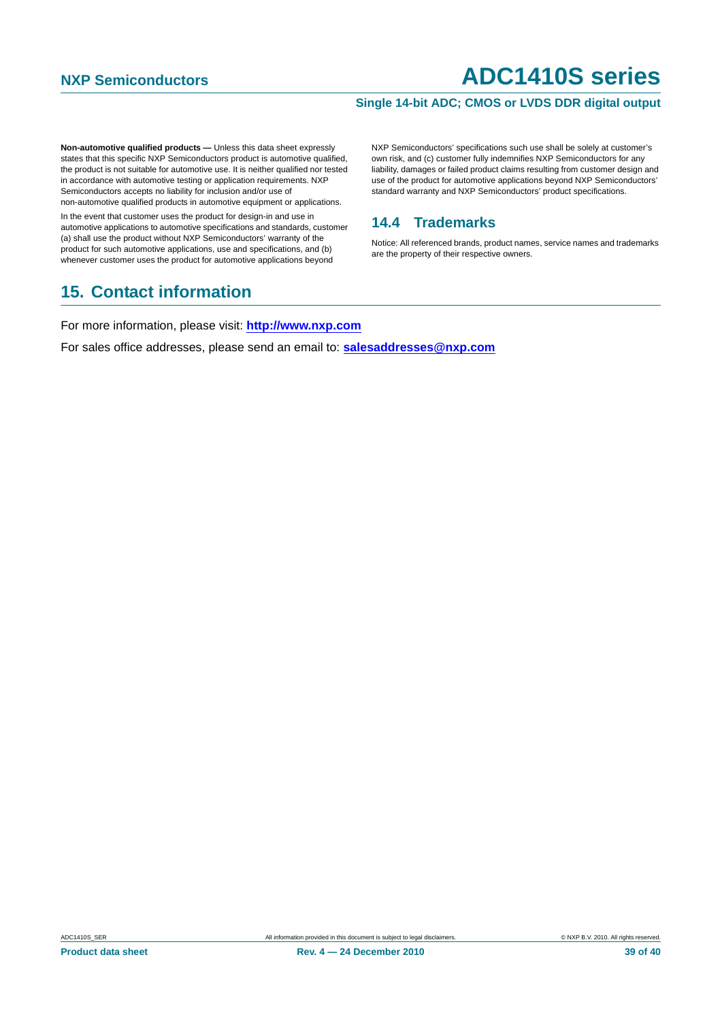### **Single 14-bit ADC; CMOS or LVDS DDR digital output**

**Non-automotive qualified products — Unless this data sheet expressly** states that this specific NXP Semiconductors product is automotive qualified, the product is not suitable for automotive use. It is neither qualified nor tested in accordance with automotive testing or application requirements. NXP Semiconductors accepts no liability for inclusion and/or use of non-automotive qualified products in automotive equipment or applications.

In the event that customer uses the product for design-in and use in automotive applications to automotive specifications and standards, customer (a) shall use the product without NXP Semiconductors' warranty of the product for such automotive applications, use and specifications, and (b) whenever customer uses the product for automotive applications beyond

### <span id="page-38-1"></span>**15. Contact information**

NXP Semiconductors' specifications such use shall be solely at customer's own risk, and (c) customer fully indemnifies NXP Semiconductors for any liability, damages or failed product claims resulting from customer design and use of the product for automotive applications beyond NXP Semiconductors' standard warranty and NXP Semiconductors' product specifications.

### <span id="page-38-0"></span>**14.4 Trademarks**

Notice: All referenced brands, product names, service names and trademarks are the property of their respective owners.

For more information, please visit: **http://www.nxp.com**

For sales office addresses, please send an email to: **salesaddresses@nxp.com**